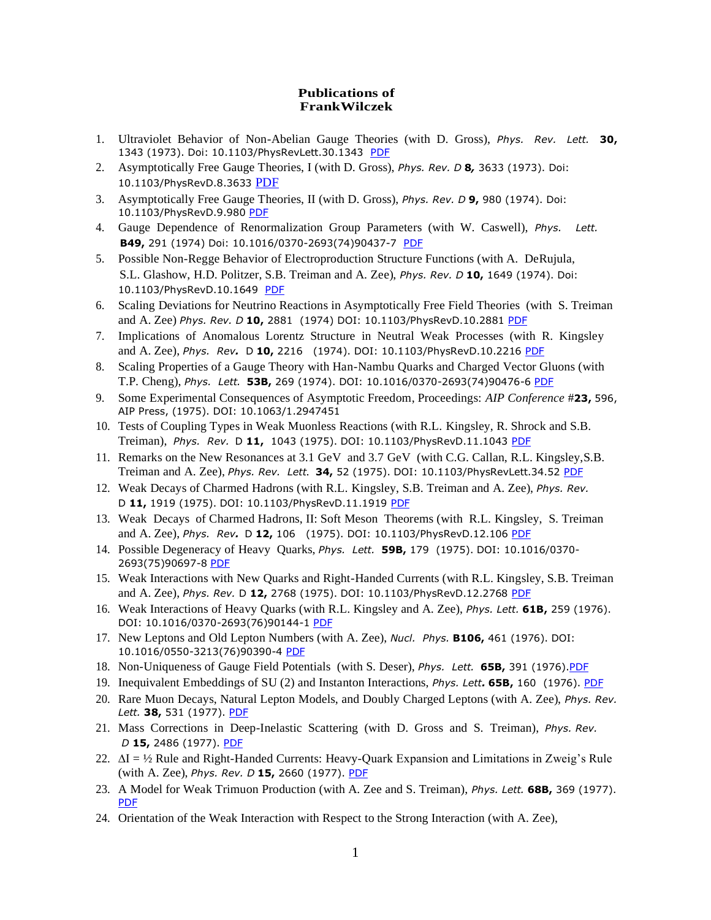## **Publications of FrankWilczek**

- 1. Ultraviolet Behavior of Non-Abelian Gauge Theories (with D. Gross), *Phys. Rev. Lett.* **30,** 1343 (1973). Doi: 10.1103/PhysRevLett.30.1343 [PDF](https://drive.google.com/file/d/0B7pl5V0YU9taRTJJT2I2UjZsTHM/view?usp=sharing)
- 2. Asymptotically Free Gauge Theories, I (with D. Gross), *Phys. Rev. D* **8***,* 3633 (1973). Doi: 10.1103/PhysRevD.8.3633 [PDF](https://drive.google.com/file/d/0B7pl5V0YU9taSVo5X0RWMW1VTzg/view?usp=sharing)
- 3. Asymptotically Free Gauge Theories, II (with D. Gross), *Phys. Rev. D* **9,** 980 (1974). Doi: 10.1103/PhysRevD.9.980 [PDF](https://drive.google.com/open?id=0B7pl5V0YU9tacHNnVFJaeXhMVWc)
- 4. Gauge Dependence of Renormalization Group Parameters (with W. Caswell), *Phys. Lett.*  **B49,** 291 (1974) Doi: 10.1016/0370-2693(74)90437-7 [PDF](https://drive.google.com/file/d/1T5LRf-g4ov0turMiB4Gkjgm_NwzLkOG7/view?usp=sharing)
- 5. Possible Non-Regge Behavior of Electroproduction Structure Functions (with A. DeRujula, S.L. Glashow, H.D. Politzer, S.B. Treiman and A. Zee), *Phys. Rev. D* **10,** 1649 (1974). Doi: 10.1103/PhysRevD.10.1649 [PDF](https://drive.google.com/open?id=0B7pl5V0YU9taclZGNURPc0xVdVk)
- 6. Scaling Deviations for Neutrino Reactions in Asymptotically Free Field Theories (with S. Treiman and A. Zee) *Phys. Rev. D* **10,** 2881 (1974) DOI: 10.1103/PhysRevD.10.2881 [PDF](https://drive.google.com/open?id=0B7pl5V0YU9taRnhlaWVWYmZXd0U)
- 7. Implications of Anomalous Lorentz Structure in Neutral Weak Processes (with R. Kingsley and A. Zee), *Phys. Rev.* D **10,** 2216 (1974). DOI: 10.1103/PhysRevD.10.2216 [PDF](https://drive.google.com/open?id=0B7pl5V0YU9tabW5kZWlVaXZNTTQ)
- 8. Scaling Properties of a Gauge Theory with Han-Nambu Quarks and Charged Vector Gluons (with T.P. Cheng), *Phys. Lett.* **53B,** 269 (1974). DOI: 10.1016/0370-2693(74)90476-6 [PDF](https://drive.google.com/open?id=0B7pl5V0YU9taM29Vb0p5YnhMT1E)
- 9. Some Experimental Consequences of Asymptotic Freedom, Proceedings: *AIP Conference* #**23,** 596, AIP Press, (1975). DOI: 10.1063/1.2947451
- 10. Tests of Coupling Types in Weak Muonless Reactions (with R.L. Kingsley, R. Shrock and S.B. Treiman), *Phys. Rev.* D **11,** 1043 (1975). DOI: 10.1103/PhysRevD.11.1043 [PDF](https://drive.google.com/open?id=0B7pl5V0YU9taQlFhOGN5MGJFbjA)
- 11. Remarks on the New Resonances at 3.1 GeV and 3.7 GeV (with C.G. Callan, R.L. Kingsley,S.B. Treiman and A. Zee), *Phys. Rev. Lett.* **34,** 52 (1975). DOI: 10.1103/PhysRevLett.34.52 [PDF](https://drive.google.com/open?id=0B7pl5V0YU9taX1JCbGM1QkJsNjg)
- 12. Weak Decays of Charmed Hadrons (with R.L. Kingsley, S.B. Treiman and A. Zee), *Phys. Rev.* D **11,** 1919 (1975). DOI: 10.1103/PhysRevD.11.1919 [PDF](https://drive.google.com/open?id=0B7pl5V0YU9tab2d4UDU0T2xYS0k)
- 13. Weak Decays of Charmed Hadrons, II: Soft Meson Theorems (with R.L. Kingsley, S. Treiman and A. Zee), *Phys. Rev.* D **12,** 106 (1975). DOI: 10.1103/PhysRevD.12.106 [PDF](https://drive.google.com/open?id=0B7pl5V0YU9taSkRPNGxFUE1vMTg)
- 14. Possible Degeneracy of Heavy Quarks, *Phys. Lett.* **59B,** 179 (1975). DOI: 10.1016/0370- 2693(75)90697-8 [PDF](https://drive.google.com/open?id=0B7pl5V0YU9tadHdjeW1aV1FJbHM)
- 15. Weak Interactions with New Quarks and Right-Handed Currents (with R.L. Kingsley, S.B. Treiman and A. Zee), *Phys. Rev.* D **12,** 2768 (1975). DOI: 10.1103/PhysRevD.12.2768 [PDF](https://drive.google.com/open?id=0B7pl5V0YU9taQ25wX2plZl8wb1k)
- 16. Weak Interactions of Heavy Quarks (with R.L. Kingsley and A. Zee), *Phys. Lett.* **61B,** 259 (1976). DOI: 10.1016/0370-2693(76)90144-1 [PDF](https://drive.google.com/open?id=0B7pl5V0YU9taQ25wX2plZl8wb1k)
- 17. New Leptons and Old Lepton Numbers (with A. Zee), *Nucl. Phys.* **B106,** 461 (1976). DOI: 10.1016/0550-3213(76)90390-4 [PDF](https://drive.google.com/open?id=0B7pl5V0YU9taOHptRXVNY1pGUDA)
- 18. Non-Uniqueness of Gauge Field Potentials (with S. Deser), *Phys. Lett.* **65B,** 391 (1976)[.PDF](https://drive.google.com/open?id=0B7pl5V0YU9taWGhzaXhpRjgtbWM)
- 19. Inequivalent Embeddings of SU (2) and Instanton Interactions, *Phys. Lett.* **65B,** 160 (1976). [PDF](https://drive.google.com/open?id=0B7pl5V0YU9taOVlrczI0VjZCMEE)
- 20. Rare Muon Decays, Natural Lepton Models, and Doubly Charged Leptons (with A. Zee), *Phys. Rev. Lett.* **38,** 531 (1977). [PDF](https://drive.google.com/open?id=0B7pl5V0YU9taZlVRdHdzOWpXX2M)
- 21. Mass Corrections in Deep-Inelastic Scattering (with D. Gross and S. Treiman), *Phys. Rev. D* **15,** 2486 (1977). [PDF](https://drive.google.com/open?id=0B7pl5V0YU9taSDdFWjZBZm5yUTg)
- 22. ∆I = ½ Rule and Right-Handed Currents: Heavy-Quark Expansion and Limitations in Zweig's Rule (with A. Zee), *Phys. Rev. D* **15,** 2660 (1977). [PDF](https://drive.google.com/open?id=0B7pl5V0YU9tadXNDTS1yMlBlbjA)
- 23. A Model for Weak Trimuon Production (with A. Zee and S. Treiman), *Phys. Lett.* **68B,** 369 (1977). [PDF](https://drive.google.com/open?id=0B7pl5V0YU9taRDZ5ZnItdHFFY3M)
- 24. Orientation of the Weak Interaction with Respect to the Strong Interaction (with A. Zee),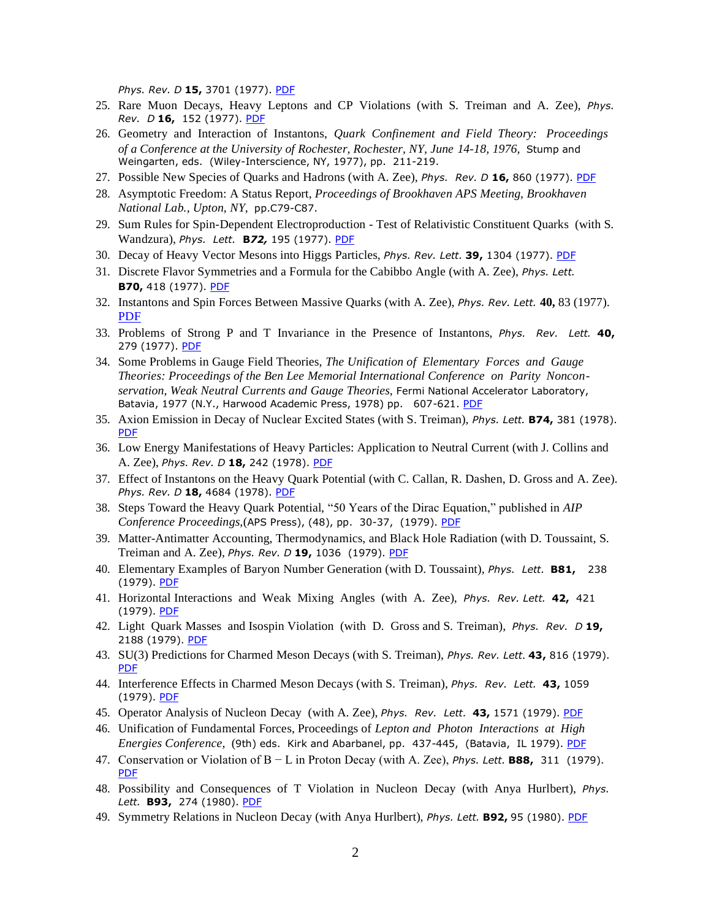*Phys. Rev. D* **15,** 3701 (1977). [PDF](https://drive.google.com/open?id=0B7pl5V0YU9taUExiVk5vV0VYRVk)

- 25. Rare Muon Decays, Heavy Leptons and CP Violations (with S. Treiman and A. Zee), *Phys. Rev. D* **16,** 152 (1977). [PDF](https://drive.google.com/open?id=0B7pl5V0YU9taV0hDUWluMUZ2MzQ)
- 26. Geometry and Interaction of Instantons, *Quark Confinement and Field Theory: Proceedings of a Conference at the University of Rochester, Rochester, NY, June 14-18, 1976,* Stump and Weingarten, eds. (Wiley-Interscience, NY, 1977), pp. 211-219.
- 27. Possible New Species of Quarks and Hadrons (with A. Zee), *Phys. Rev. D* **16,** 860 (1977). [PDF](https://drive.google.com/file/d/1rjGWbvy8wtl5XWQ_BoQNwYxCjeqjnXn4/view?usp=sharing)
- 28. Asymptotic Freedom: A Status Report, *Proceedings of Brookhaven APS Meeting, Brookhaven National Lab., Upton, NY,* pp.C79-C87.
- 29. Sum Rules for Spin-Dependent Electroproduction Test of Relativistic Constituent Quarks (with S. Wandzura), *Phys. Lett.* **B***72,* 195 (1977). [PDF](https://drive.google.com/open?id=0B7pl5V0YU9taLVNaTElLWks3UWM)
- 30. Decay of Heavy Vector Mesons into Higgs Particles, *Phys. Rev. Lett.* **39,** 1304 (1977). [PDF](https://drive.google.com/open?id=0B7pl5V0YU9taUkx4SVRHQVlWV3c)
- 31. Discrete Flavor Symmetries and a Formula for the Cabibbo Angle (with A. Zee), *Phys. Lett.* **B70,** 418 (1977). [PDF](https://drive.google.com/open?id=0B7pl5V0YU9taaXBrOEw5QmhvUFk)
- 32. Instantons and Spin Forces Between Massive Quarks (with A. Zee), *Phys. Rev. Lett.* **40,** 83 (1977). [PDF](https://drive.google.com/open?id=0B7pl5V0YU9taeGNpVnloVTNDRmM)
- 33. Problems of Strong P and T Invariance in the Presence of Instantons, *Phys. Rev. Lett.* **40,** 279 (1977). [PDF](https://drive.google.com/open?id=0B7pl5V0YU9taT3J4bkJtZWZId0k)
- 34. Some Problems in Gauge Field Theories, *The Unification of Elementary Forces and Gauge Theories: Proceedings of the Ben Lee Memorial International Conference on Parity Nonconservation, Weak Neutral Currents and Gauge Theories,* Fermi National Accelerator Laboratory, Batavia, 1977 (N.Y., Harwood Academic Press, 1978) pp. 607-621. [PDF](https://drive.google.com/open?id=0B7pl5V0YU9tadzdMRGFNUmJHVlE)
- 35. Axion Emission in Decay of Nuclear Excited States (with S. Treiman), *Phys. Lett.* **B74,** 381 (1978). [PDF](https://drive.google.com/open?id=0B7pl5V0YU9taZnEtZmR3cWVyUjQ)
- 36. Low Energy Manifestations of Heavy Particles: Application to Neutral Current (with J. Collins and A. Zee), *Phys. Rev. D* **18,** 242 (1978). [PDF](https://drive.google.com/open?id=0B7pl5V0YU9taVjVadDZBNlJNR0U)
- 37. Effect of Instantons on the Heavy Quark Potential (with C. Callan, R. Dashen, D. Gross and A. Zee). *Phys. Rev. D* **18,** 4684 (1978). [PDF](https://drive.google.com/open?id=0B7pl5V0YU9taUUFGQ2xXOVdGbTg)
- 38. Steps Toward the Heavy Quark Potential, "50 Years of the Dirac Equation," published in *AIP Conference Proceedings,*(APS Press), (48), pp. 30-37, (1979). [PDF](https://drive.google.com/open?id=0B7pl5V0YU9taUFNVTkRleVZCYXc)
- 39. Matter-Antimatter Accounting, Thermodynamics, and Black Hole Radiation (with D. Toussaint, S. Treiman and A. Zee), *Phys. Rev. D* **19,** 1036 (1979). [PDF](https://drive.google.com/open?id=0B7pl5V0YU9tacV83WEtoaURfa0U)
- 40. Elementary Examples of Baryon Number Generation (with D. Toussaint), *Phys. Lett.* **B81,** 238 (1979). [PDF](https://drive.google.com/open?id=0B7pl5V0YU9taRWZrQ1pvS2RMT3c)
- 41. Horizontal Interactions and Weak Mixing Angles (with A. Zee), *Phys. Rev. Lett.* **42,** 421 (1979). [PDF](https://drive.google.com/open?id=0B7pl5V0YU9taYU1RbEVoektOdkU)
- 42. Light Quark Masses and Isospin Violation (with D. Gross and S. Treiman), *Phys. Rev. D* **19,** 2188 (1979). [PDF](https://drive.google.com/open?id=0B7pl5V0YU9taVVRaUUZyNmJaUzg)
- 43. SU(3) Predictions for Charmed Meson Decays (with S. Treiman), *Phys. Rev. Lett.* **43,** 816 (1979). [PDF](https://drive.google.com/file/d/0B7pl5V0YU9taVVRjVUR0T2NIaGM/view?usp=sharing)
- 44. Interference Effects in Charmed Meson Decays (with S. Treiman), *Phys. Rev. Lett.* **43,** 1059 (1979). [PDF](https://drive.google.com/open?id=0B7pl5V0YU9taMlI5RkJYa1lGU0k)
- 45. Operator Analysis of Nucleon Decay (with A. Zee), *Phys. Rev. Lett.* **43,** 1571 (1979). [PDF](https://drive.google.com/open?id=0B7pl5V0YU9taN1F5U1c2UDRIeFE)
- 46. Unification of Fundamental Forces, Proceedings of *Lepton and Photon Interactions at High Energies Conference,* (9th) eds. Kirk and Abarbanel, pp. 437-445, (Batavia, IL 1979). [PDF](https://drive.google.com/file/d/1BFsjRcO8gEc1SYkA6-JeGCBWlUgOil8p/view?usp=sharing)
- 47. Conservation or Violation of B − L in Proton Decay (with A. Zee), *Phys. Lett.* **B88,** 311 (1979). [PDF](https://drive.google.com/open?id=0B7pl5V0YU9taall2ejE1cWFnNjA)
- 48. Possibility and Consequences of T Violation in Nucleon Decay (with Anya Hurlbert), *Phys. Lett.* **B93,** 274 (1980). [PDF](https://drive.google.com/open?id=0B7pl5V0YU9taZnp2RmtWVTN3MzQ)
- 49. Symmetry Relations in Nucleon Decay (with Anya Hurlbert), *Phys. Lett.* **B92,** 95 (1980). [PDF](https://drive.google.com/open?id=0B7pl5V0YU9tadkYyWExDVWxlUFE)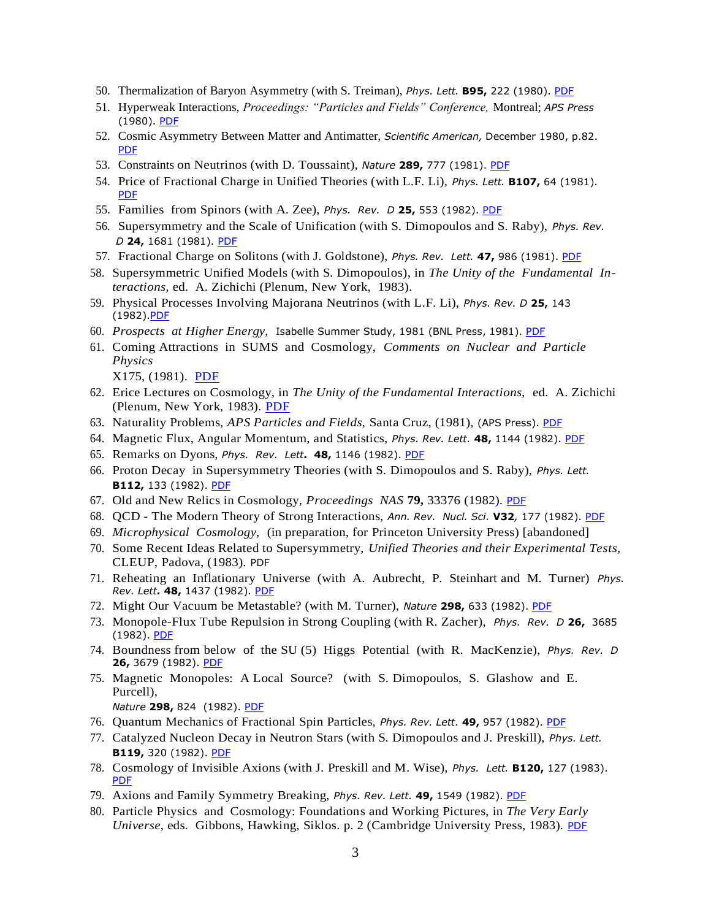- 50. Thermalization of Baryon Asymmetry (with S. Treiman), *Phys. Lett.* **B95,** 222 (1980). [PDF](https://drive.google.com/open?id=0B7pl5V0YU9taT1NGN1hoYjBza3M)
- 51. Hyperweak Interactions, *Proceedings: "Particles and Fields" Conference,* Montreal; *APS Press* (1980). [PDF](https://drive.google.com/open?id=0B7pl5V0YU9taakVqUV9uSVkxSUU)
- 52. Cosmic Asymmetry Between Matter and Antimatter, *Scientific American,* December 1980, p.82. [PDF](https://drive.google.com/open?id=0B7pl5V0YU9tadlFoRjFNZFpiMFk)
- 53. Constraints on Neutrinos (with D. Toussaint), *Nature* **289,** 777 (1981). [PDF](https://drive.google.com/open?id=0B7pl5V0YU9taRlhTRERjTGZQVWc)
- 54. Price of Fractional Charge in Unified Theories (with L.F. Li), *Phys. Lett.* **B107,** 64 (1981). [PDF](https://drive.google.com/open?id=0B7pl5V0YU9taenM2cXc4bXVCcTA)
- 55. Families from Spinors (with A. Zee), *Phys. Rev. D* **25,** 553 (1982). [PDF](https://drive.google.com/open?id=0B7pl5V0YU9taSHFFZnRORDZSRXM)
- 56. Supersymmetry and the Scale of Unification (with S. Dimopoulos and S. Raby), *Phys. Rev. D* **24,** 1681 (1981). [PDF](https://drive.google.com/open?id=0B7pl5V0YU9tabndKc0xmS29PVEE)
- 57. Fractional Charge on Solitons (with J. Goldstone), *Phys. Rev. Lett.* **47,** 986 (1981). [PDF](https://drive.google.com/file/d/1UMjlSr8jrLFlojEWrRX4Wm5i5iPFoJoM/view?usp=sharing)
- 58. Supersymmetric Unified Models (with S. Dimopoulos), in *The Unity of the Fundamental Interactions,* ed. A. Zichichi (Plenum, New York, 1983).
- 59. Physical Processes Involving Majorana Neutrinos (with L.F. Li), *Phys. Rev. D* **25,** 143 (1982)[.PDF](https://drive.google.com/file/d/1VoriDcz3st2nTdMYIufjPwQSDeyUmWsZ/view?usp=sharing)
- 60. *Prospects at Higher Energy,* Isabelle Summer Study, 1981 (BNL Press, 1981). [PDF](https://drive.google.com/file/d/1heNlY2LugmwfRq5UbM-ktHF8Gttln4Kq/view?usp=sharing)
- 61. Coming Attractions in SUMS and Cosmology, *Comments on Nuclear and Particle Physics*

X175, (1981). [PDF](https://drive.google.com/file/d/1wDt4uwiqJiYpckhPQ-x1K4d1SEA2tc7d/view?usp=sharing)

- 62. Erice Lectures on Cosmology, in *The Unity of the Fundamental Interactions,* ed. A. Zichichi (Plenum, New York, 1983). [PDF](https://drive.google.com/open?id=0B7pl5V0YU9tadlc2aXR1WkQ2eFk)
- 63. Naturality Problems, *APS Particles and Fields,* Santa Cruz, (1981), (APS Press). [PDF](https://drive.google.com/open?id=0B7pl5V0YU9taM3drWFRjc1VucjQ)
- 64. Magnetic Flux, Angular Momentum, and Statistics, *Phys. Rev. Lett.* **48,** 1144 (1982). [PDF](https://drive.google.com/open?id=0B7pl5V0YU9taaXY4NDhFYk1kSDQ)
- 65. Remarks on Dyons, *Phys. Rev. Lett***. 48,** 1146 (1982). [PDF](https://drive.google.com/open?id=0B7pl5V0YU9tacU5qV2NYTC1IYTg)
- 66. Proton Decay in Supersymmetry Theories (with S. Dimopoulos and S. Raby), *Phys. Lett.* **B112,** 133 (1982). [PDF](https://drive.google.com/open?id=0B7pl5V0YU9taRldva2hOMEQ0LVU)
- 67. Old and New Relics in Cosmology, *Proceedings NAS* **79,** 33376 (1982). [PDF](https://drive.google.com/open?id=0B7pl5V0YU9taSjhULVJ6dkFtRWs)
- 68. QCD The Modern Theory of Strong Interactions, *Ann. Rev. Nucl. Sci.* **V32***,* 177 (1982). [PDF](https://drive.google.com/open?id=0B7pl5V0YU9tacG5LMVVqOEZPcTA)
- 69. *Microphysical Cosmology,* (in preparation, for Princeton University Press) [abandoned]
- 70. Some Recent Ideas Related to Supersymmetry, *Unified Theories and their Experimental Tests,* CLEUP, Padova, (1983). PDF
- 71. Reheating an Inflationary Universe (with A. Aubrecht, P. Steinhart and M. Turner) *Phys. Rev. Lett.* **48,** 1437 (1982). [PDF](https://drive.google.com/open?id=0B7pl5V0YU9tabEJQdmtadjBtT0E)
- 72. Might Our Vacuum be Metastable? (with M. Turner), *Nature* **298,** 633 (1982). [PDF](https://drive.google.com/open?id=0B7pl5V0YU9tabnRqUExJYkw4NW8)
- 73. Monopole-Flux Tube Repulsion in Strong Coupling (with R. Zacher), *Phys. Rev. D* **26,** 3685 (1982). [PDF](https://drive.google.com/open?id=0B7pl5V0YU9taVXU0SENGQ1NnLVk)
- 74. Boundness from below of the SU (5) Higgs Potential (with R. MacKenzie), *Phys. Rev. D* **26,** 3679 (1982). [PDF](https://drive.google.com/open?id=0B7pl5V0YU9taQ3c3a0d5Y1V2Qms)
- 75. Magnetic Monopoles: A Local Source? (with S. Dimopoulos, S. Glashow and E. Purcell),

*Nature* **298,** 824 (1982). [PDF](https://drive.google.com/open?id=0B7pl5V0YU9taV1NQWnU3ekpIUXc)

- 76. Quantum Mechanics of Fractional Spin Particles, *Phys. Rev. Lett.* **49,** 957 (1982). [PDF](https://drive.google.com/open?id=0B7pl5V0YU9taTWdMWmxYTXlQUUU)
- 77. Catalyzed Nucleon Decay in Neutron Stars (with S. Dimopoulos and J. Preskill), *Phys. Lett.* **B119,** 320 (1982). [PDF](https://drive.google.com/open?id=0B7pl5V0YU9taYjBOa3NqdWZsaWs)
- 78. Cosmology of Invisible Axions (with J. Preskill and M. Wise), *Phys. Lett.* **B120,** 127 (1983). [PDF](https://drive.google.com/open?id=0B7pl5V0YU9taN3BpZl9rRWx2VTA)
- 79. Axions and Family Symmetry Breaking, *Phys. Rev. Lett.* **49,** 1549 (1982). [PDF](https://drive.google.com/open?id=0B7pl5V0YU9taYVdBdXlLbTh6d00)
- 80. Particle Physics and Cosmology: Foundations and Working Pictures, in *The Very Early Universe, eds. Gibbons, Hawking, Siklos. p. 2 (Cambridge University Press, 1983). [PDF](https://drive.google.com/file/d/1NrCwYuDH2SCth11JKUHyXO4xu7-Q0Vj7/view?usp=sharing)*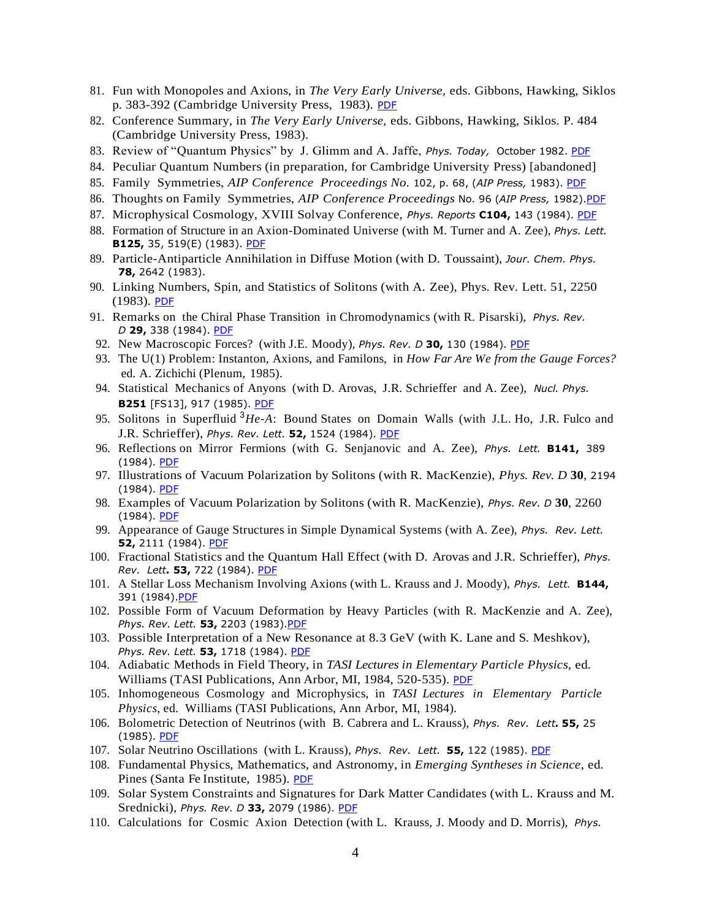- 81. Fun with Monopoles and Axions, in *The Very Early Universe,* eds. Gibbons, Hawking, Siklos p. 383-392 (Cambridge University Press, 1983). [PDF](https://drive.google.com/file/d/1dLPhldA0t0b2Px_XbogFA9ZDAjjqzTvJ/view?usp=sharing)
- 82. Conference Summary, in *The Very Early Universe,* eds. Gibbons, Hawking, Siklos. P. 484 (Cambridge University Press, 1983).
- 83. Review of "Quantum Physics" by J. Glimm and A. Jaffe, *Phys. Today,* October 1982. [PDF](https://drive.google.com/file/d/11g8rRui9eC-FsHmJLl4hCAP30OE8fH3k/view?usp=sharing)
- 84. Peculiar Quantum Numbers (in preparation, for Cambridge University Press) [abandoned]
- 85. Family Symmetries, *AIP Conference Proceedings No.* 102, p. 68, (*AIP Press,* 1983). [PDF](https://drive.google.com/file/d/1L2lGnOGzOyDUuo_pJLDZ5b_n7z6g_m8q/view?usp=sharing)
- 86. Thoughts on Family Symmetries, *AIP Conference Proceedings* No. 96 (*AIP Press,* 1982)[.PDF](https://drive.google.com/file/d/1RomsrEvZ-PHmC4PsK3x8smrgMyWVirYl/view?usp=sharing)
- 87. Microphysical Cosmology, XVIII Solvay Conference, *Phys. Reports* **C104,** 143 (1984). [PDF](https://drive.google.com/open?id=0B7pl5V0YU9taeHRKUDFkclc3Q2s)
- 88. Formation of Structure in an Axion-Dominated Universe (with M. Turner and A. Zee), *Phys. Lett.*  **B125,** 35, 519(E) (1983). [PDF](https://drive.google.com/open?id=0B7pl5V0YU9taM1Y2THRyMVVBYXM)
- 89. Particle-Antiparticle Annihilation in Diffuse Motion (with D. Toussaint), *Jour. Chem. Phys.* **78,** 2642 (1983).
- 90. Linking Numbers, Spin, and Statistics of Solitons (with A. Zee), Phys. Rev. Lett. 51, 2250  $(1983)$ . [PDF](https://drive.google.com/open?id=0B7pl5V0YU9taam5yUjlUYm81TXc)
- 91. Remarks on the Chiral Phase Transition in Chromodynamics (with R. Pisarski), *Phys. Rev. D* **29,** 338 (1984). [PDF](https://drive.google.com/open?id=0B7pl5V0YU9taQ1ZlOXdtR3RwaW8)
- 92. New Macroscopic Forces? (with J.E. Moody), *Phys. Rev. D* **30,** 130 (1984). [PDF](https://drive.google.com/open?id=0B7pl5V0YU9taVW5nVFhzX1MtdEE)
- 93. The U(1) Problem: Instanton, Axions, and Familons, in *How Far Are We from the Gauge Forces?* ed. A. Zichichi (Plenum, 1985).
- 94. Statistical Mechanics of Anyons (with D. Arovas, J.R. Schrieffer and A. Zee), *Nucl. Phys.* **B251** [FS13], 917 (1985). [PDF](https://drive.google.com/open?id=0B7pl5V0YU9taVzdvOWFDZEQtN1k)
- 95. Solitons in Superfluid 3*He*-*A*: Bound States on Domain Walls (with J.L. Ho, J.R. Fulco and J.R. Schrieffer), *Phys. Rev. Lett.* **52,** 1524 (1984). [PDF](https://drive.google.com/open?id=0B7pl5V0YU9taVEhwTTNlaS1mdTg)
- 96. Reflections on Mirror Fermions (with G. Senjanovic and A. Zee), *Phys. Lett.* **B141,** 389 (1984). [PDF](https://drive.google.com/file/d/1NREdFNsh9AvYq-73e7n_lNB-PcJR22ra/view?usp=sharing)
- 97. Illustrations of Vacuum Polarization by Solitons (with R. MacKenzie), *Phys. Rev. D* **30**, 2194 (1984). [PDF](https://drive.google.com/open?id=0B7pl5V0YU9taam51UzFJbm1LUEU)
- 98. Examples of Vacuum Polarization by Solitons (with R. MacKenzie), *Phys. Rev. D* **30**, 2260  $(1984)$ . [PDF](https://drive.google.com/open?id=0B7pl5V0YU9taSmVTaVJMZk1PRGM)
- 99. Appearance of Gauge Structures in Simple Dynamical Systems (with A. Zee), *Phys. Rev. Lett.* **52,** 2111 (1984). [PDF](https://drive.google.com/open?id=0B7pl5V0YU9taV1NscEpEdGdXRUk)
- 100. Fractional Statistics and the Quantum Hall Effect (with D. Arovas and J.R. Schrieffer), *Phys. Rev. Lett.* **53,** 722 (1984). [PDF](https://drive.google.com/open?id=0B7pl5V0YU9taUldSMXloRTlialk)
- 101. A Stellar Loss Mechanism Involving Axions (with L. Krauss and J. Moody), *Phys. Lett.* **B144,** 391 (1984). PDF
- 102. Possible Form of Vacuum Deformation by Heavy Particles (with R. MacKenzie and A. Zee), *Phys. Rev. Lett.* **53,** 2203 (1983)[.PDF](https://drive.google.com/open?id=0B7pl5V0YU9taVVlYT1ZFVmVCb28)
- 103. Possible Interpretation of a New Resonance at 8*.*3 GeV (with K. Lane and S. Meshkov), *Phys. Rev. Lett.* **53,** 1718 (1984). [PDF](https://drive.google.com/file/d/1aB6Ge0fojHtSw7vV9oZ8oJ-F5WqRYiIs/view?usp=sharing)
- 104. Adiabatic Methods in Field Theory, in *TASI Lectures in Elementary Particle Physics*, ed. Williams (TASI Publications, Ann Arbor, MI, 1984, 520-535). [PDF](https://drive.google.com/file/d/12vxhUoXsV4U2FYpqxjliTN7MAmUp7bla/view?usp=sharing)
- 105. Inhomogeneous Cosmology and Microphysics, in *TASI Lectures in Elementary Particle Physics*, ed. Williams (TASI Publications, Ann Arbor, MI, 1984).
- 106. Bolometric Detection of Neutrinos (with B. Cabrera and L. Krauss), *Phys. Rev. Lett.* **55,** 25 (1985). [PDF](https://drive.google.com/open?id=0B7pl5V0YU9taVFVSSWpvRHI2Z0U)
- 107. Solar Neutrino Oscillations (with L. Krauss), *Phys. Rev. Lett.* **55,** 122 (1985). [PDF](https://drive.google.com/open?id=0B7pl5V0YU9tadFU5TUlQeHFzVEU)
- 108. Fundamental Physics, Mathematics, and Astronomy, in *Emerging Syntheses in Science*, ed. Pines (Santa Fe Institute, 1985). [PDF](https://drive.google.com/file/d/1v6kJJEFF0TlRdANrwrPm2slmWlEFVTNR/view?usp=sharing)
- 109. Solar System Constraints and Signatures for Dark Matter Candidates (with L. Krauss and M. Srednicki), *Phys. Rev. D* **33,** 2079 (1986). [PDF](https://drive.google.com/open?id=0B7pl5V0YU9taNG52bEN0ZV9NVms)
- 110. Calculations for Cosmic Axion Detection (with L. Krauss, J. Moody and D. Morris), *Phys.*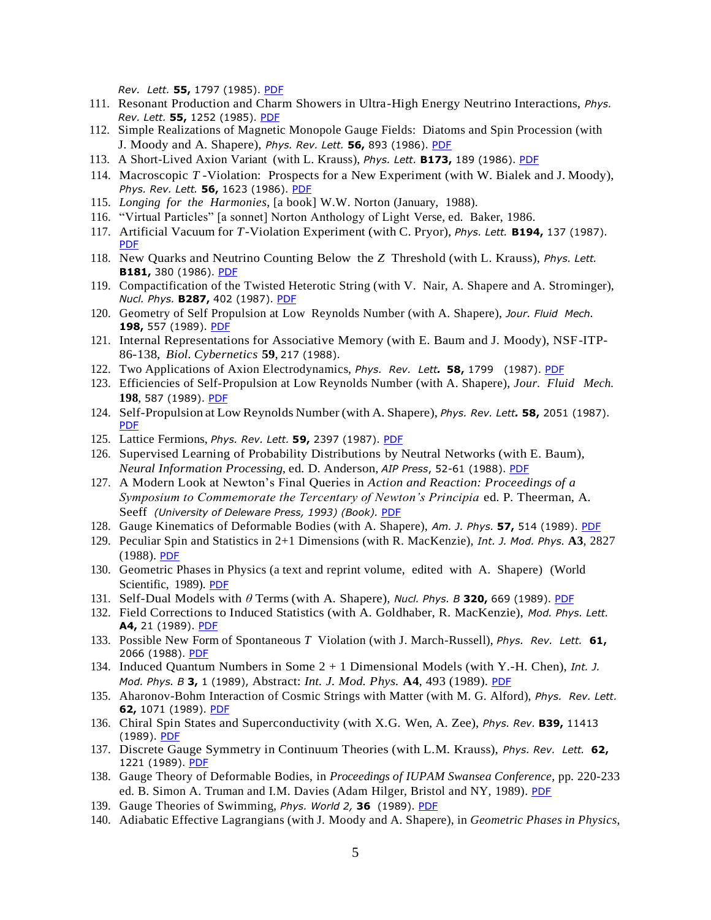*Rev. Lett.* **55,** 1797 (1985). [PDF](https://drive.google.com/open?id=0B7pl5V0YU9taUThCT211bGV2MVU)

- 111. Resonant Production and Charm Showers in Ultra-High Energy Neutrino Interactions, *Phys. Rev. Lett.* **55,** 1252 (1985). [PDF](https://drive.google.com/open?id=0B7pl5V0YU9taQVVmSnJidnl0LTA)
- 112. Simple Realizations of Magnetic Monopole Gauge Fields: Diatoms and Spin Procession (with J. Moody and A. Shapere), *Phys. Rev. Lett.* **56,** 893 (1986). [PDF](https://drive.google.com/open?id=0B7pl5V0YU9taRXRTblJmTFdrOVE)
- 113. A Short-Lived Axion Variant (with L. Krauss), *Phys. Lett.* **B173,** 189 (1986). [PDF](https://drive.google.com/open?id=0B7pl5V0YU9taVmNfTlc2c2o3WEk)
- 114. Macroscopic *T* -Violation: Prospects for a New Experiment (with W. Bialek and J. Moody), *Phys. Rev. Lett.* **56,** 1623 (1986). [PDF](https://drive.google.com/open?id=0B7pl5V0YU9taVllRN190OS14Q0E)
- 115. *Longing for the Harmonies*, [a book] W.W. Norton (January, 1988).
- 116. "Virtual Particles" [a sonnet] Norton Anthology of Light Verse, ed. Baker, 1986.
- 117. Artificial Vacuum for *T*-Violation Experiment (with C. Pryor), *Phys. Lett.* **B194,** 137 (1987). [PDF](https://drive.google.com/file/d/1shZqmOQIbXU4SygJ-rhbNY97Ks_z2xOb/view?usp=sharing)
- 118. New Quarks and Neutrino Counting Below the *Z* Threshold (with L. Krauss), *Phys. Lett.* **B181,** 380 (1986). [PDF](https://drive.google.com/open?id=0B7pl5V0YU9taZHBjLTYydmJJdVk)
- 119. Compactification of the Twisted Heterotic String (with V. Nair, A. Shapere and A. Strominger), *Nucl. Phys.* **B287,** 402 (1987). [PDF](https://drive.google.com/open?id=0B7pl5V0YU9taX2FZemJYc0c3UUU)
- 120. Geometry of Self Propulsion at Low Reynolds Number (with A. Shapere), *Jour. Fluid Mech.* 198, 557 (1989). [PDF](https://drive.google.com/open?id=0B7pl5V0YU9taQUdBc3FZc2Y1R00)
- 121. Internal Representations for Associative Memory (with E. Baum and J. Moody), NSF-ITP-86-138, *Biol. Cybernetics* **59**, 217 (1988).
- 122. Two Applications of Axion Electrodynamics, *Phys. Rev. Lett.* **58,** 1799 (1987). [PDF](https://drive.google.com/file/d/1qxYDwgzYwuyPJrKfnuX-7hsi2N1itFoF/view?usp=sharing)
- 123. Efficiencies of Self-Propulsion at Low Reynolds Number (with A. Shapere), *Jour. Fluid Mech.* **198**, 587 (1989). [PDF](https://drive.google.com/open?id=0B7pl5V0YU9taUlIwWXcwaW9UT0E)
- 124. Self-Propulsion at Low Reynolds Number (with A. Shapere), *Phys. Rev. Lett.* **58,** 2051 (1987). [PDF](https://drive.google.com/file/d/1bixqogBm2QUgYAqW2niXjYRJp4kPxMBl/view?usp=sharing)
- 125. Lattice Fermions, *Phys. Rev. Lett.* **59,** 2397 (1987). [PDF](https://drive.google.com/file/d/1J7vhun-aW4kYcQGYCYiT43AS0p1nYtOM/view?usp=sharing)
- 126. Supervised Learning of Probability Distributions by Neutral Networks (with E. Baum), *Neural Information Processing*, ed. D. Anderson, *AIP Press*, 52-61 (1988). [PDF](https://drive.google.com/open?id=0B7pl5V0YU9taQ0txOGlGQmh5dW8)
- 127. A Modern Look at Newton's Final Queries in *Action and Reaction: Proceedings of a Symposium to Commemorate the Tercentary of Newton's Principia* ed. P. Theerman, A. Seeff *(University of Deleware Press, 1993) (Book)*. [PDF](https://drive.google.com/file/d/1uOxWaNCXsHtxBpFBRwleU-nIEkOQ3jCJ/view?usp=sharing)
- 128. Gauge Kinematics of Deformable Bodies (with A. Shapere), *Am. J. Phys.* **57,** 514 (1989). [PDF](https://drive.google.com/open?id=0B7pl5V0YU9taSlVVWUVRa0xoemM)
- 129. Peculiar Spin and Statistics in 2+1 Dimensions (with R. MacKenzie), *Int. J. Mod. Phys.* **A3**, 2827 (1988). [PDF](https://drive.google.com/open?id=0B7pl5V0YU9taNjR1RmxvUHdfOEU)
- 130. Geometric Phases in Physics (a text and reprint volume, edited with A. Shapere) (World Scientific, 1989). [PDF](https://drive.google.com/open?id=0B7pl5V0YU9taaHlDNmpIUE1vVE0)
- 131. Self-Dual Models with *θ* Terms (with A. Shapere), *Nucl. Phys. B* **320,** 669 (1989). [PDF](https://drive.google.com/file/d/1e3RamTzKPOX14CrvuyErXKjWPolkWH2d/view?usp=sharing)
- 132. Field Corrections to Induced Statistics (with A. Goldhaber, R. MacKenzie), *Mod. Phys. Lett.* **A4,** 21 (1989). [PDF](https://drive.google.com/open?id=0B7pl5V0YU9taaEd5bjdQTGczMms)
- 133. Possible New Form of Spontaneous *T* Violation (with J. March-Russell), *Phys. Rev. Lett.* **61,** 2066 (1988). [PDF](https://drive.google.com/file/d/1R-k4lbOWI9Ag6iEMSo7dlXRuxYxxNqsX/view?usp=sharing)
- 134. Induced Quantum Numbers in Some 2 + 1 Dimensional Models (with Y.-H. Chen), *Int. J. Mod. Phys. B* **3,** 1 (1989), Abstract: *Int. J. Mod. Phys.* **A4**, 493 (1989). [PDF](https://drive.google.com/open?id=0B7pl5V0YU9taZFA3QjdyVThYYzA)
- 135. Aharonov-Bohm Interaction of Cosmic Strings with Matter (with M. G. Alford), *Phys. Rev. Lett.* **62,** 1071 (1989). [PDF](https://drive.google.com/open?id=0B7pl5V0YU9taSTFTcjdsMy13VGs)
- 136. Chiral Spin States and Superconductivity (with X.G. Wen, A. Zee), *Phys. Rev.* **B39,** 11413 (1989). [PDF](https://drive.google.com/open?id=0B7pl5V0YU9taUy1XdlhiWTJLa3M)
- 137. Discrete Gauge Symmetry in Continuum Theories (with L.M. Krauss), *Phys. Rev. Lett.* **62,** 1221 (1989). [PDF](https://drive.google.com/open?id=0B7pl5V0YU9taU3RYMDFNWVEzeHM)
- 138. Gauge Theory of Deformable Bodies, in *Proceedings of IUPAM Swansea Conference*, pp. 220-233 ed. B. Simon A. Truman and I.M. Davies (Adam Hilger, Bristol and NY, 1989). [PDF](https://drive.google.com/open?id=0B7pl5V0YU9taMjVjQjB1bGlTUjQ)
- 139. Gauge Theories of Swimming, *Phys. World 2,* **36**(1989). [PDF](https://drive.google.com/open?id=1ZrI4qb4X03gfRtcyYmEoXcm8XBDO3hmf)
- 140. Adiabatic Effective Lagrangians (with J. Moody and A. Shapere), in *Geometric Phases in Physics*,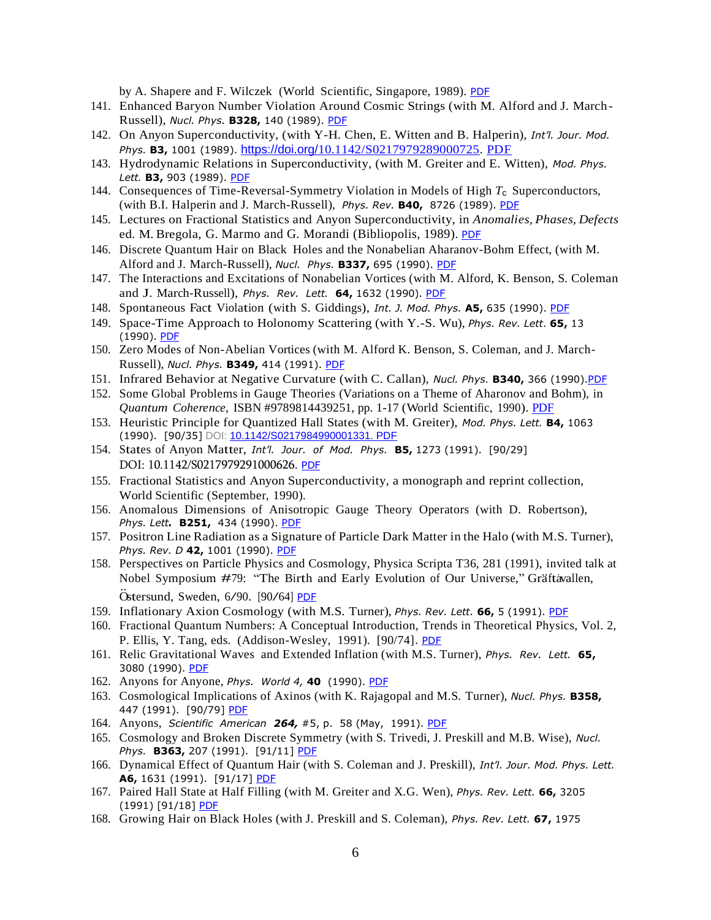by A. Shapere and F. Wilczek (World Scientific, Singapore, 1989). [PDF](https://drive.google.com/open?id=0B7pl5V0YU9tadFBJUW55OGo2SDA)

- 141. Enhanced Baryon Number Violation Around Cosmic Strings (with M. Alford and J. March-Russell), *Nucl. Phys.* **B328,** 140 (1989). [PDF](https://drive.google.com/open?id=0B7pl5V0YU9taRzhqdDJWZHoycjQ)
- 142. On Anyon Superconductivity, (with Y-H. Chen, E. Witten and B. Halperin), *Int'l. Jour. Mod. Phys.* **B3,** 1001 (1989). [https://doi.org/](https://doi.org/10.1142/S0217979289000725)[10.1142/S0217979289000725.](https://doi.org/10.1142/S0217979289000725) [PDF](https://drive.google.com/file/d/12wu3a1F43yQhX3tRzyQVtTPagAoZqEqP/view?usp=sharing)
- 143. Hydrodynamic Relations in Superconductivity, (with M. Greiter and E. Witten), *Mod. Phys. Lett.* **B3,** 903 (1989). [PDF](https://drive.google.com/open?id=0B7pl5V0YU9taU1gwZElNd29GXzg)
- 144. Consequences of Time-Reversal-Symmetry Violation in Models of High *T*c Superconductors, (with B.I. Halperin and J. March-Russell), *Phys. Rev.* **B40,** 8726 (1989). [PDF](https://drive.google.com/open?id=0B7pl5V0YU9tadDlOa3FNSkNwS2s)
- 145. Lectures on Fractional Statistics and Anyon Superconductivity, in *Anomalies, Phases, Defects* ed. M. Bregola, G. Marmo and G. Morandi (Bibliopolis, 1989). [PDF](https://drive.google.com/file/d/12yKo7TxWscVO3xRC6V2gOyKp1fiAtM3U/view?usp=sharing)
- 146. Discrete Quantum Hair on Black Holes and the Nonabelian Aharanov-Bohm Effect, (with M. Alford and J. March-Russell), *Nucl. Phys.* **B337,** 695 (1990). [PDF](https://drive.google.com/open?id=0B7pl5V0YU9taU2szb1gzMWpxMWM)
- 147. The Interactions and Excitations of Nonabelian Vortices (with M. Alford, K. Benson, S. Coleman and J. March-Russell), *Phys. Rev. Lett.* **64,** 1632 (1990). [PDF](https://drive.google.com/open?id=0B7pl5V0YU9taeVAxSVRITjJ6Nkk)
- 148. Spontaneous Fact Violation (with S. Giddings), *Int. J. Mod. Phys.* **A5,** 635 (1990). [PDF](https://drive.google.com/open?id=0B7pl5V0YU9taLWllM1VaWnJDbTQ)
- 149. Space-Time Approach to Holonomy Scattering (with Y.-S. Wu), *Phys. Rev. Lett*. **65,** 13 (1990). [PDF](https://drive.google.com/open?id=0B7pl5V0YU9tacS00c0tzQjBMQWs)
- 150. Zero Modes of Non-Abelian Vortices (with M. Alford K. Benson, S. Coleman, and J. March-Russell), *Nucl. Phys.* **B349,** 414 (1991). [PDF](https://drive.google.com/file/d/1ucsYB1MkCI-CwM6TPJLrClJkMePevCnd/view?usp=sharing)
- 151. Infrared Behavior at Negative Curvature (with C. Callan), *Nucl. Phys.* **B340,** 366 (1990)[.PDF](https://drive.google.com/file/d/19FnBF0lfwYlPYzJeiHPU2FV7FJPvjkcq/view?usp=sharing)
- 152. Some Global Problems in Gauge Theories (Variations on a Theme of Aharonov and Bohm), in *Quantum Coherence,* ISBN #9789814439251, pp. 1-17 (World Scientific, 1990). [PDF](https://drive.google.com/file/d/12zTBJVo9NClEXTe3dK0HDkiwx_ceLA0L/view?usp=sharing)
- 153. Heuristic Principle for Quantized Hall States (with M. Greiter), *Mod. Phys. Lett.* **B4,** 1063 (1990). [90/35] DOI: [10.1142/S0217984990001331.](https://www.researchgate.net/deref/http%3A%2F%2Fdx.doi.org%2F10.1142%2FS0217984990001331) [PDF](https://drive.google.com/file/d/132GEm-RPXfdvQMyytbLHcfZBz6WqACGs/view?usp=sharing)
- 154. States of Anyon Matter, *Int'l. Jour. of Mod. Phys.* **B5,** 1273 (1991). [90/29] DOI: 10.1142/S0217979291000626. [PDF](https://drive.google.com/file/d/132a3FT5i4J0Y1G7wYZc57AbhMgqltHbO/view?usp=sharing)
- 155. Fractional Statistics and Anyon Superconductivity, a monograph and reprint collection, World Scientific (September, 1990).
- 156. Anomalous Dimensions of Anisotropic Gauge Theory Operators (with D. Robertson), *Phys. Lett.* **B251,** 434 (1990). [PDF](https://drive.google.com/open?id=0B7pl5V0YU9taYkdzd3VqZWc3Zlk)
- 157. Positron Line Radiation as a Signature of Particle Dark Matter in the Halo (with M.S. Turner), *Phys. Rev. D* **42,** 1001 (1990). [PDF](https://drive.google.com/open?id=0B7pl5V0YU9taWWVUTGhJdGFubFE)
- 158. Perspectives on Particle Physics and Cosmology, Physica Scripta T36, 281 (1991), invited talk at Nobel Symposium #79: "The Birth and Early Evolution of Our Universe," Gräftavallen, ...<br>Östersund, Sweden, 6/90. [90/64] <u>[PDF](https://drive.google.com/file/d/1IJunJh5JHjDeTfeVx13sVUyIGmGdqYdk/view?usp=sharing)</u>
- 159. Inflationary Axion Cosmology (with M.S. Turner), *Phys. Rev. Lett.* **66,** 5 (1991). [PDF](https://drive.google.com/open?id=0B7pl5V0YU9taRUFzM3VMQldGdG8)
- 160. Fractional Quantum Numbers: A Conceptual Introduction, Trends in Theoretical Physics, Vol. 2, P. Ellis, Y. Tang, eds. (Addison-Wesley, 1991). [90/74]. [PDF](https://drive.google.com/file/d/134OE015XDnLGP2zdMcy7-JIIRre73xRv/view?usp=sharing)
- 161. Relic Gravitational Waves and Extended Inflation (with M.S. Turner), *Phys. Rev. Lett.* **65,** 3080 (1990). [PDF](https://drive.google.com/open?id=0B7pl5V0YU9tacGNQZHpmWHNYZW8)
- 162. Anyons for Anyone, *Phys. World 4,* **40** (1990). [PDF](https://drive.google.com/open?id=0B7pl5V0YU9tad3l0SW9aZ1BOSnM)
- 163. Cosmological Implications of Axinos (with K. Rajagopal and M.S. Turner), *Nucl. Phys.* **B358,** 447 (1991). [90/79] [PDF](https://drive.google.com/file/d/1G4epRHHK3d35X2VigP4EQFewS-PR7Oo9/view?usp=sharing)
- 164. Anyons, *Scientific American 264,* #5, p. 58 (May, 1991). [PDF](https://drive.google.com/open?id=0B7pl5V0YU9tad3l0SW9aZ1BOSnM)
- 165. Cosmology and Broken Discrete Symmetry (with S. Trivedi, J. Preskill and M.B. Wise), *Nucl. Phys.* **B363,** 207 (1991). [91/11] [PDF](https://drive.google.com/open?id=0B7pl5V0YU9taekpkNllIUHV5cDQ)
- 166. Dynamical Effect of Quantum Hair (with S. Coleman and J. Preskill), *Int'l. Jour. Mod. Phys. Lett.*  **A6,** 1631 (1991). [91/17] [PDF](https://drive.google.com/open?id=0B7pl5V0YU9taQS1hLU9pOEtjdk0)
- 167. Paired Hall State at Half Filling (with M. Greiter and X.G. Wen), *Phys. Rev. Lett.* **66,** 3205 (1991) [91/18] [PDF](https://drive.google.com/file/d/10mkxxqevb_PBonbJUYVT9u1wUSEkCb-z/view?usp=sharing)
- 168. Growing Hair on Black Holes (with J. Preskill and S. Coleman), *Phys. Rev. Lett.* **67,** 1975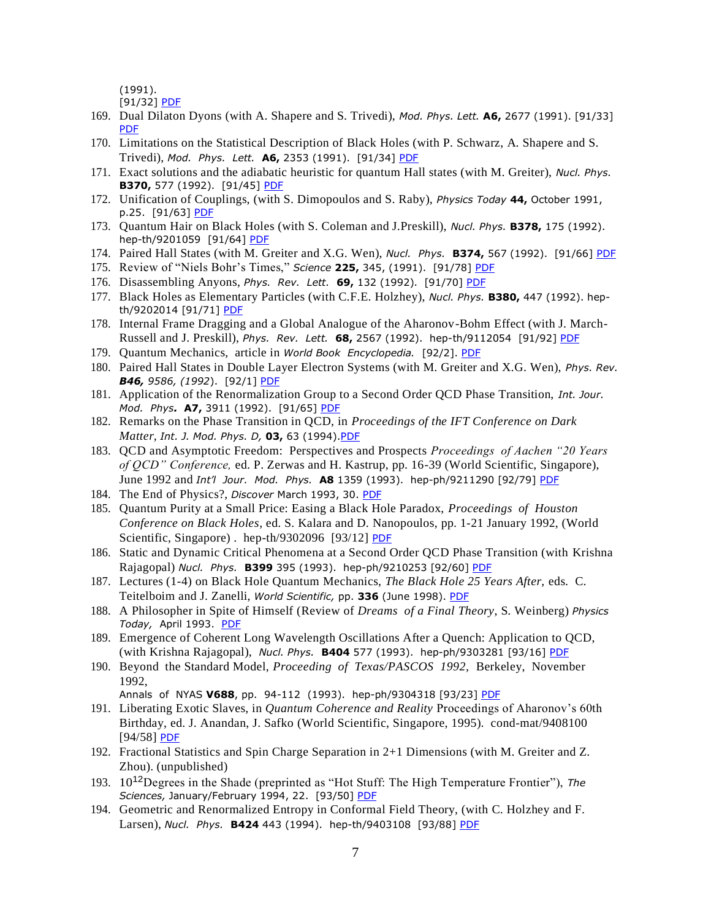(1991).

[91/32] **[PDF](https://drive.google.com/open?id=0B7pl5V0YU9taZVlrQk5QdlEzNkE)** 

- 169. Dual Dilaton Dyons (with A. Shapere and S. Trivedi), *Mod. Phys. Lett.* **A6,** 2677 (1991). [91/33] [PDF](https://drive.google.com/open?id=0B7pl5V0YU9taSTRsb1pLQjZ1NXc)
- 170. Limitations on the Statistical Description of Black Holes (with P. Schwarz, A. Shapere and S. Trivedi), *Mod. Phys. Lett.* **A6,** 2353 (1991). [91/34] [PDF](https://drive.google.com/open?id=0B7pl5V0YU9tad1JORHdKWXZXbVU)
- 171. Exact solutions and the adiabatic heuristic for quantum Hall states (with M. Greiter), *Nucl. Phys.*  **B370,** 577 (1992). [91/45] [PDF](https://drive.google.com/file/d/10-guN_cXLOTpyFAuypo3wwDEpU4f7JQe/view?usp=sharing)
- 172. Unification of Couplings, (with S. Dimopoulos and S. Raby), *Physics Today* **44,** October 1991, p.25. [91/63] [PDF](https://drive.google.com/file/d/1im_QXTKjuEZu-qCyMHi1ITQFLvrR3L0F/view?usp=sharing)
- 173. Quantum Hair on Black Holes (with S. Coleman and J.Preskill), *Nucl. Phys.* **B378,** 175 (1992). hep-th/9201059 [91/64] [PDF](https://drive.google.com/open?id=0B7pl5V0YU9taaktIOEhYU1E3bDg)
- 174. Paired Hall States (with M. Greiter and X.G. Wen), *Nucl. Phys.* **B374,** 567 (1992). [91/66] [PDF](https://drive.google.com/file/d/1djtM7EHFRNq0D1V8HNCMHST5tcOcPlZi/view?usp=sharing)
- 175. Review of "Niels Bohr's Times," *Science* **225,** 345, (1991). [91/78] [PDF](https://drive.google.com/file/d/1mpPfTRRaLDFzXVjhTgWjMtnOzSdtJSmU/view?usp=sharing)
- 176. Disassembling Anyons, *Phys. Rev. Lett.* **69,** 132 (1992). [91/70] [PDF](https://drive.google.com/open?id=0B7pl5V0YU9tadi1iRjBmNHZPcU0)
- 177. Black Holes as Elementary Particles (with C.F.E. Holzhey), *Nucl. Phys.* **B380,** 447 (1992). hepth/9202014 [91/71] [PDF](https://drive.google.com/open?id=0B7pl5V0YU9tadlRHRUhPZC1OTjA)
- 178. Internal Frame Dragging and a Global Analogue of the Aharonov-Bohm Effect (with J. March-Russell and J. Preskill), *Phys. Rev. Lett.* **68,** 2567 (1992). hep-th/9112054 [91/92] [PDF](https://drive.google.com/open?id=0B7pl5V0YU9tacjJxWXpDU3NSLVU)
- 179. Quantum Mechanics, article in *World Book Encyclopedia.* [92/2]. [PDF](https://drive.google.com/file/d/137kpAggxuW268VZCfJoKvPcU1qaIma3c/view?usp=sharing)
- 180. Paired Hall States in Double Layer Electron Systems (with M. Greiter and X.G. Wen), *Phys. Rev. B46, 9586, (1992*). [92/1] [PDF](https://drive.google.com/open?id=1LLxnASarLboA1bs3XeCNZKa3V3DscgUy)
- 181. Application of the Renormalization Group to a Second Order QCD Phase Transition, *Int. Jour. Mod. Phys.* **A7,** 3911 (1992). [91/65] [PDF](https://drive.google.com/open?id=0B7pl5V0YU9taMXVPRm9WaUlOTVk)
- 182. Remarks on the Phase Transition in QCD, in *Proceedings of the IFT Conference on Dark Matter, Int. J. Mod. Phys. D,* **03,** 63 (1994)[.PDF](https://drive.google.com/file/d/0B7pl5V0YU9taelp1VTh0cW41TkU/view?usp=sharing)
- 183. QCD and Asymptotic Freedom: Perspectives and Prospects *Proceedings of Aachen "20 Years of QCD" Conference,* ed. P. Zerwas and H. Kastrup, pp. 16-39 (World Scientific, Singapore), June 1992 and *Int'l Jour. Mod. Phys.* **A8** 1359 (1993). hep-ph/9211290 [92/79] [PDF](https://drive.google.com/open?id=0B7pl5V0YU9taYjExM1FaUVVNUlk)
- 184. The End of Physics?, *Discover* March 1993, 30. [PDF](https://drive.google.com/file/d/13I1n4EoHL_XA1Y7rBB_d-9UDb8wpE06_/view?usp=sharing)
- 185. Quantum Purity at a Small Price: Easing a Black Hole Paradox, *Proceedings of Houston Conference on Black Holes*, ed. S. Kalara and D. Nanopoulos, pp. 1-21 January 1992, (World Scientific, Singapore). hep-th/9302096 [93/12] [PDF](https://drive.google.com/open?id=0B7pl5V0YU9taTjA3ejJrY1JmSGM)
- 186. Static and Dynamic Critical Phenomena at a Second Order QCD Phase Transition (with Krishna Rajagopal) *Nucl. Phys.* **B399** 395 (1993). hep-ph/9210253 [92/60] [PDF](https://drive.google.com/open?id=0B7pl5V0YU9taaGYxUkZPUXRkLVU)
- 187. Lectures (1-4) on Black Hole Quantum Mechanics, *The Black Hole 25 Years After,* eds. C. Teitelboim and J. Zanelli, *World Scientific,* pp. **336** (June 1998). [PDF](https://drive.google.com/file/d/13df2Rdvt2n6Fm4SWJZ37iymcJtA24cHh/view?usp=sharing)
- 188. A Philosopher in Spite of Himself (Review of *Dreams of a Final Theory*, S. Weinberg) *Physics Today,* April 1993. [PDF](https://drive.google.com/file/d/1w66U9kVvUGLTw3TK7fy8akGef665Eg63/view?usp=sharing)
- 189. Emergence of Coherent Long Wavelength Oscillations After a Quench: Application to QCD, (with Krishna Rajagopal), *Nucl. Phys.* **B404** 577 (1993). hep-ph/9303281 [93/16] [PDF](https://drive.google.com/open?id=0B7pl5V0YU9taVm1HczVwWXJnM1k)
- 190. Beyond the Standard Model, *Proceeding of Texas/PASCOS 1992,* Berkeley, November 1992,

Annals of NYAS **V688**, pp. 94-112 (1993). hep-ph/9304318 [93/23] [PDF](https://drive.google.com/open?id=0B7pl5V0YU9taNklfeUdNM2RMQ1U)

- 191. Liberating Exotic Slaves, in *Quantum Coherence and Reality* Proceedings of Aharonov's 60th Birthday, ed. J. Anandan, J. Safko (World Scientific, Singapore, 1995). cond-mat/9408100 [94/58] [PDF](https://drive.google.com/open?id=0B7pl5V0YU9taMXlHclhPTFE5eTA)
- 192. Fractional Statistics and Spin Charge Separation in 2+1 Dimensions (with M. Greiter and Z. Zhou). (unpublished)
- 193. 1012Degrees in the Shade (preprinted as "Hot Stuff: The High Temperature Frontier"), *The*  Sciences, January/February 1994, 22. [93/50] [PDF](https://drive.google.com/open?id=0B7pl5V0YU9taUHJycXNfSjNPTnc)
- 194. Geometric and Renormalized Entropy in Conformal Field Theory, (with C. Holzhey and F. Larsen), *Nucl. Phys.* **B424** 443 (1994). hep-th/9403108 [93/88] [PDF](https://drive.google.com/open?id=0B7pl5V0YU9taekdzeWduZkFIRnc)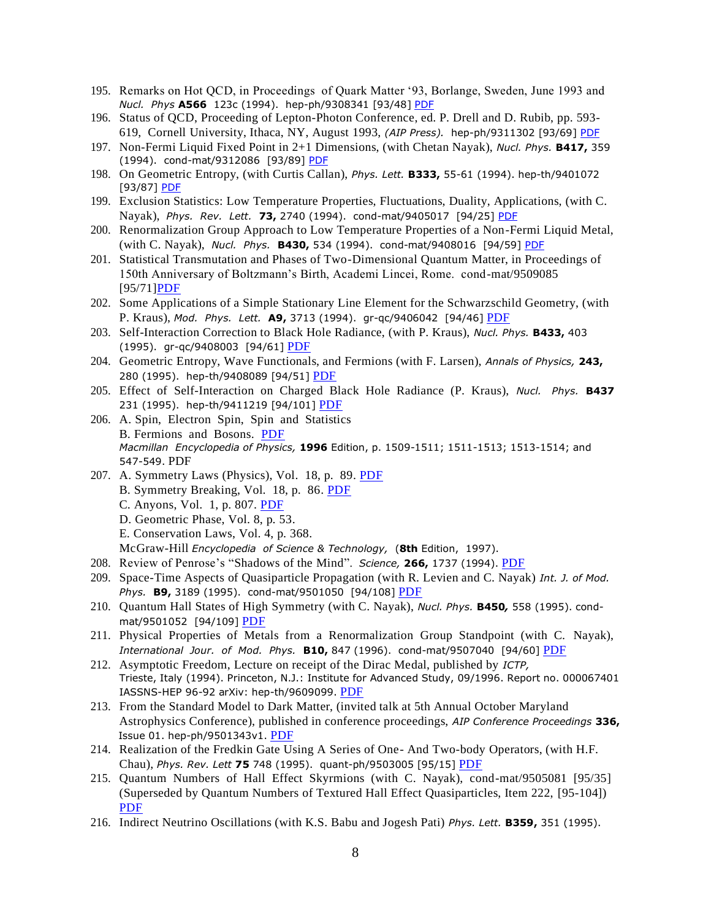- 195. Remarks on Hot QCD, in Proceedings of Quark Matter '93, Borlange, Sweden, June 1993 and *Nucl. Phys* **A566** 123c (1994). hep-ph/9308341 [93/48] [PDF](https://drive.google.com/open?id=0B7pl5V0YU9taUjZ5LVVrRWpEVU0)
- 196. Status of QCD, Proceeding of Lepton-Photon Conference, ed. P. Drell and D. Rubib, pp. 593- 619, Cornell University, Ithaca, NY, August 1993, *(AIP Press).* hep-ph/9311302 [93/69] [PDF](https://drive.google.com/open?id=0B7pl5V0YU9taTUl3WWd4dmU2UHc)
- 197. Non-Fermi Liquid Fixed Point in 2+1 Dimensions, (with Chetan Nayak), *Nucl. Phys.* **B417,** 359 (1994). cond-mat/9312086 [93/89] [PDF](https://drive.google.com/open?id=0B7pl5V0YU9tabDFSaXlTNUZVaVE)
- 198. On Geometric Entropy, (with Curtis Callan), *Phys. Lett.* **B333,** 55-61 (1994). hep-th/9401072 [93/87] [PDF](https://drive.google.com/open?id=0B7pl5V0YU9tadkVER1ktelFBcDQ)
- 199. Exclusion Statistics: Low Temperature Properties, Fluctuations, Duality, Applications, (with C. Nayak), *Phys. Rev. Lett.* **73,** 2740 (1994). cond-mat/9405017 [94/25] [PDF](https://drive.google.com/open?id=0B7pl5V0YU9tabW4zbThpdGRWVFE)
- 200. Renormalization Group Approach to Low Temperature Properties of a Non-Fermi Liquid Metal, (with C. Nayak), *Nucl. Phys.* **B430,** 534 (1994). cond-mat/9408016 [94/59] [PDF](https://drive.google.com/open?id=0B7pl5V0YU9taOHFhR3liX1BiMUk)
- 201. Statistical Transmutation and Phases of Two-Dimensional Quantum Matter, in Proceedings of 150th Anniversary of Boltzmann's Birth, Academi Lincei, Rome. cond-mat/9509085 [95/71[\]PDF](https://drive.google.com/open?id=0B7pl5V0YU9taaFItM0dHRGw4ZkE)
- 202. Some Applications of a Simple Stationary Line Element for the Schwarzschild Geometry, (with P. Kraus), *Mod. Phys. Lett.* **A9,** 3713 (1994). gr-qc/9406042 [94/46] [PDF](https://drive.google.com/open?id=0B7pl5V0YU9taYURVWmJzY0JvNHc)
- 203. Self-Interaction Correction to Black Hole Radiance, (with P. Kraus), *Nucl. Phys.* **B433,** 403 (1995). gr-qc/9408003 [94/61] [PDF](https://drive.google.com/open?id=0B7pl5V0YU9taQkVDeGhGY2NrNU0)
- 204. Geometric Entropy, Wave Functionals, and Fermions (with F. Larsen), *Annals of Physics,* **243,** 280 (1995). hep-th/9408089 [94/51] [PDF](https://drive.google.com/open?id=0B7pl5V0YU9tadENMemdOaWRhelk)
- 205. Effect of Self-Interaction on Charged Black Hole Radiance (P. Kraus), *Nucl. Phys.* **B437** 231 (1995). hep-th/9411219 [94/101] [PDF](https://drive.google.com/open?id=0B7pl5V0YU9tacExhQk5UX21CTjA)
- 206. A. Spin, Electron Spin, Spin and Statistics B. Fermions and Bosons. [PDF](https://drive.google.com/file/d/13MYwCPyBv07IjYXsP7wQ9lh9hgbVsh31/view?usp=sharing) *Macmillan Encyclopedia of Physics,* **1996** Edition, p. 1509-1511; 1511-1513; 1513-1514; and 547-549. PDF
- 207. A. Symmetry Laws (Physics), Vol. 18, p. 89. [PDF](https://drive.google.com/file/d/13P3pyMQrQy9a5aJ2IBScoiA0Ckno4j2m/view?usp=sharing) B. Symmetry Breaking, Vol. 18, p. 86. [PDF](https://drive.google.com/file/d/13Mhq46_2VKWNLn4gsrw-nMVkcUU0s5bd/view?usp=sharing) C. Anyons, Vol. 1, p. 807. [PDF](https://drive.google.com/file/d/1uvG5Bxiak1E7Xnzp5CDGJRpI-NgUHN97/view?usp=sharing) D. Geometric Phase, Vol. 8, p. 53. E. Conservation Laws, Vol. 4, p. 368.

McGraw-Hill *Encyclopedia of Science & Technology,* (**8th** Edition, 1997).

- 208. Review of Penrose's "Shadows of the Mind". *Science,* **266,** 1737 (1994). [PDF](https://drive.google.com/open?id=0B7pl5V0YU9taVktHQVZXZHkwZk0)
- 209. Space-Time Aspects of Quasiparticle Propagation (with R. Levien and C. Nayak) *Int. J. of Mod. Phys.* **B9,** 3189 (1995). cond-mat/9501050 [94/108] [PDF](https://drive.google.com/open?id=0B7pl5V0YU9taNGZBNmtXNExrZVE)
- 210. Quantum Hall States of High Symmetry (with C. Nayak), *Nucl. Phys.* **B450***,* 558 (1995). condmat/9501052 [94/109] [PDF](https://drive.google.com/open?id=0B7pl5V0YU9taSW9OVUZCU0pBR3M)
- 211. Physical Properties of Metals from a Renormalization Group Standpoint (with C. Nayak), *International Jour. of Mod. Phys.* **B10,** 847 (1996). cond-mat/9507040 [94/60] [PDF](https://drive.google.com/open?id=0B7pl5V0YU9taMHp3T0hrLUtuOGM)
- 212. Asymptotic Freedom, Lecture on receipt of the Dirac Medal, published by *ICTP,*  Trieste, Italy (1994). Princeton, N.J.: Institute for Advanced Study, 09/1996. Report no. 000067401 IASSNS-HEP 96-92 arXiv: hep-th/9609099. [PDF](https://drive.google.com/file/d/1FoOLvvjKZ0TqiKyCh4ua2U7gY0qEFO0f/view?usp=sharing)
- 213. From the Standard Model to Dark Matter, (invited talk at 5th Annual October Maryland Astrophysics Conference), published in conference proceedings, *AIP Conference Proceedings* **336,** Issue 01. hep-ph/9501343v1. [PDF](https://drive.google.com/file/d/1ws-Pss1BbhjsvVpJS996EByXhxRs8g2Y/view?usp=sharing)
- 214. Realization of the Fredkin Gate Using A Series of One- And Two-body Operators, (with H.F. Chau), *Phys. Rev. Lett* **75** 748 (1995). quant-ph/9503005 [95/15] [PDF](https://drive.google.com/open?id=0B7pl5V0YU9taUUdMcDB6WXh3cVU)
- 215. Quantum Numbers of Hall Effect Skyrmions (with C. Nayak), cond-mat/9505081 [95/35] (Superseded by Quantum Numbers of Textured Hall Effect Quasiparticles, Item 222, [95-104]) [PDF](https://drive.google.com/open?id=0B7pl5V0YU9taSWNWcUdhc1JGTjA)
- 216. Indirect Neutrino Oscillations (with K.S. Babu and Jogesh Pati) *Phys. Lett.* **B359,** 351 (1995).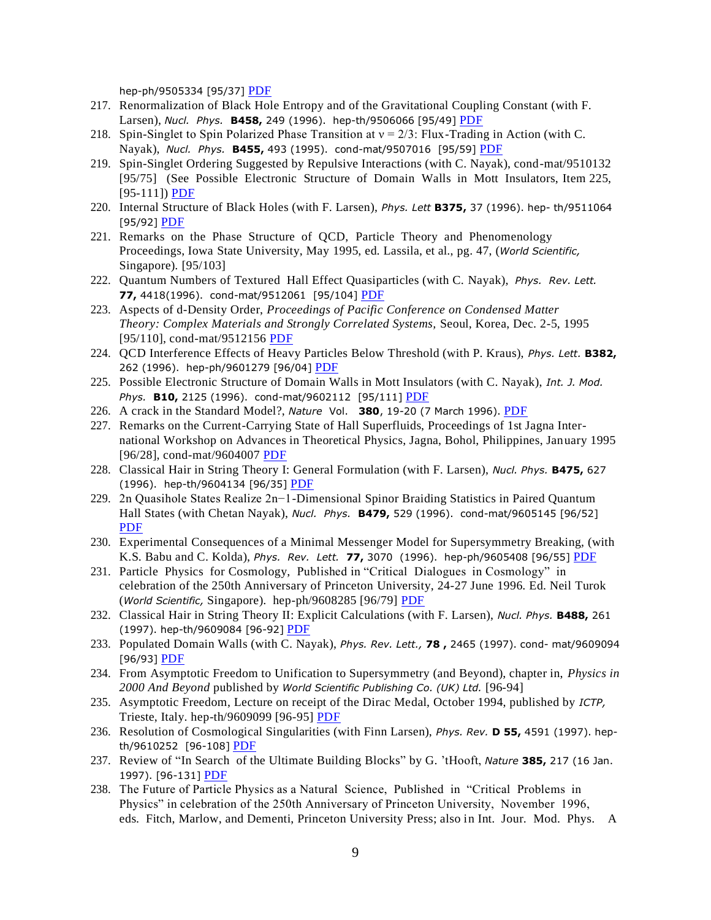hep-ph/9505334 [95/37] [PDF](https://drive.google.com/open?id=0B7pl5V0YU9taRTBHOW0xcnhqU28)

- 217. Renormalization of Black Hole Entropy and of the Gravitational Coupling Constant (with F. Larsen), *Nucl. Phys.* **B458,** 249 (1996). hep-th/9506066 [95/49] [PDF](https://drive.google.com/open?id=0B7pl5V0YU9taWGNwRXk0V3AtUHc)
- 218. Spin-Singlet to Spin Polarized Phase Transition at  $v = 2/3$ : Flux-Trading in Action (with C. Nayak), *Nucl. Phys.* **B455,** 493 (1995). cond-mat/9507016 [95/59] [PDF](https://drive.google.com/open?id=0B7pl5V0YU9taVm1QZEFUaTRueFE)
- 219. Spin-Singlet Ordering Suggested by Repulsive Interactions (with C. Nayak), cond-mat/9510132 [95/75] (See Possible Electronic Structure of Domain Walls in Mott Insulators, Item 225, [95-111]) [PDF](https://drive.google.com/open?id=0B7pl5V0YU9taaXN5SGFTQXRNanM)
- 220. Internal Structure of Black Holes (with F. Larsen), *Phys. Lett* **B375,** 37 (1996). hep- th/9511064 [95/92] [PDF](https://drive.google.com/file/d/1UcQNs1i26ZOvEJJik5r9-UhrxYrXdHdL/view?usp=sharing)
- 221. Remarks on the Phase Structure of QCD, Particle Theory and Phenomenology Proceedings, Iowa State University, May 1995, ed. Lassila, et al., pg. 47, (*World Scientific,* Singapore). [95/103]
- 222. Quantum Numbers of Textured Hall Effect Quasiparticles (with C. Nayak), *Phys. Rev. Lett.* **77,** 4418(1996). cond-mat/9512061 [95/104] [PDF](https://drive.google.com/open?id=0B7pl5V0YU9taVlkwNnlCOTBuVVk)
- 223. Aspects of d-Density Order, *Proceedings of Pacific Conference on Condensed Matter Theory: Complex Materials and Strongly Correlated Systems,* Seoul, Korea, Dec. 2-5, 1995 [95/110], cond-mat/9512156 [PDF](https://drive.google.com/open?id=0B7pl5V0YU9taMmJHenFhWXlFbFk)
- 224. QCD Interference Effects of Heavy Particles Below Threshold (with P. Kraus), *Phys. Lett.* **B382,** 262 (1996). hep-ph/9601279 [96/04] [PDF](https://drive.google.com/open?id=0B7pl5V0YU9taSEo0N2wwLWw5QWs)
- 225. Possible Electronic Structure of Domain Walls in Mott Insulators (with C. Nayak), *Int. J. Mod. Phys.* **B10,** 2125 (1996). cond-mat/9602112 [95/111] [PDF](https://drive.google.com/open?id=0B7pl5V0YU9taVWZXRndWVEI2WE0)
- 226. A crack in the Standard Model?, *Nature* Vol. **380**, 19-20 (7 March 1996). [PDF](https://drive.google.com/open?id=0B7pl5V0YU9taOHhacmk3WTFRdDQ)
- 227. Remarks on the Current-Carrying State of Hall Superfluids, Proceedings of 1st Jagna International Workshop on Advances in Theoretical Physics, Jagna, Bohol, Philippines, January 1995 [96/28], cond-mat/9604007 [PDF](https://drive.google.com/open?id=0B7pl5V0YU9taSFRzY1F3MXhZRk0)
- 228. Classical Hair in String Theory I: General Formulation (with F. Larsen), *Nucl. Phys.* **B475,** 627 (1996). hep-th/9604134 [96/35] [PDF](https://drive.google.com/open?id=0B7pl5V0YU9taNDFVcmR1aWR0SGs)
- 229. 2n Quasihole States Realize 2n−1-Dimensional Spinor Braiding Statistics in Paired Quantum Hall States (with Chetan Nayak), *Nucl. Phys.* **B479,** 529 (1996). cond-mat/9605145 [96/52] [PDF](https://drive.google.com/open?id=0B7pl5V0YU9taUlRXeDBoVktNUG8)
- 230. Experimental Consequences of a Minimal Messenger Model for Supersymmetry Breaking, (with K.S. Babu and C. Kolda), *Phys. Rev. Lett.* **77,** 3070 (1996). hep-ph/9605408 [96/55] [PDF](https://drive.google.com/open?id=0B7pl5V0YU9tadzB6MVdfelZWOWM)
- 231. Particle Physics for Cosmology, Published in "Critical Dialogues in Cosmology" in celebration of the 250th Anniversary of Princeton University, 24-27 June 1996. Ed. Neil Turok (*World Scientific,* Singapore). hep-ph/9608285 [96/79] [PDF](https://drive.google.com/open?id=0B7pl5V0YU9taZXVOcC16SmdITUk)
- 232. Classical Hair in String Theory II: Explicit Calculations (with F. Larsen), *Nucl. Phys.* **B488,** 261 (1997). hep-th/9609084 [96-92] [PDF](https://drive.google.com/open?id=0B7pl5V0YU9taQjQtMGxVMzhsb1E)
- 233. Populated Domain Walls (with C. Nayak), *Phys. Rev. Lett.,* **78 ,** 2465 (1997). cond- mat/9609094 [96/93] [PDF](https://drive.google.com/open?id=0B7pl5V0YU9taeFF4X1pGNFpkNkU)
- 234. From Asymptotic Freedom to Unification to Supersymmetry (and Beyond), chapter in, *Physics in 2000 And Beyond* published by *World Scientific Publishing Co. (UK) Ltd.* [96-94]
- 235. Asymptotic Freedom, Lecture on receipt of the Dirac Medal, October 1994, published by *ICTP,* Trieste, Italy. hep-th/9609099 [96-95] [PDF](https://drive.google.com/open?id=0B7pl5V0YU9taNmtIb0FTSnFWSU0)
- 236. Resolution of Cosmological Singularities (with Finn Larsen), *Phys. Rev.* **D 55,** 4591 (1997). hep-th/9610252 [96-108] [PDF](https://drive.google.com/open?id=0B7pl5V0YU9taZy1wUjVXcktGSW8)
- 237. Review of "In Search of the Ultimate Building Blocks" by G. 'tHooft, *Nature* **385,** 217 (16 Jan. 1997). [96-131] [PDF](https://drive.google.com/open?id=0B7pl5V0YU9taQk83WFRWQzl0Ync)
- 238. The Future of Particle Physics as a Natural Science, Published in "Critical Problems in Physics" in celebration of the 250th Anniversary of Princeton University, November 1996, eds. Fitch, Marlow, and Dementi, Princeton University Press; also in Int. Jour. Mod. Phys. A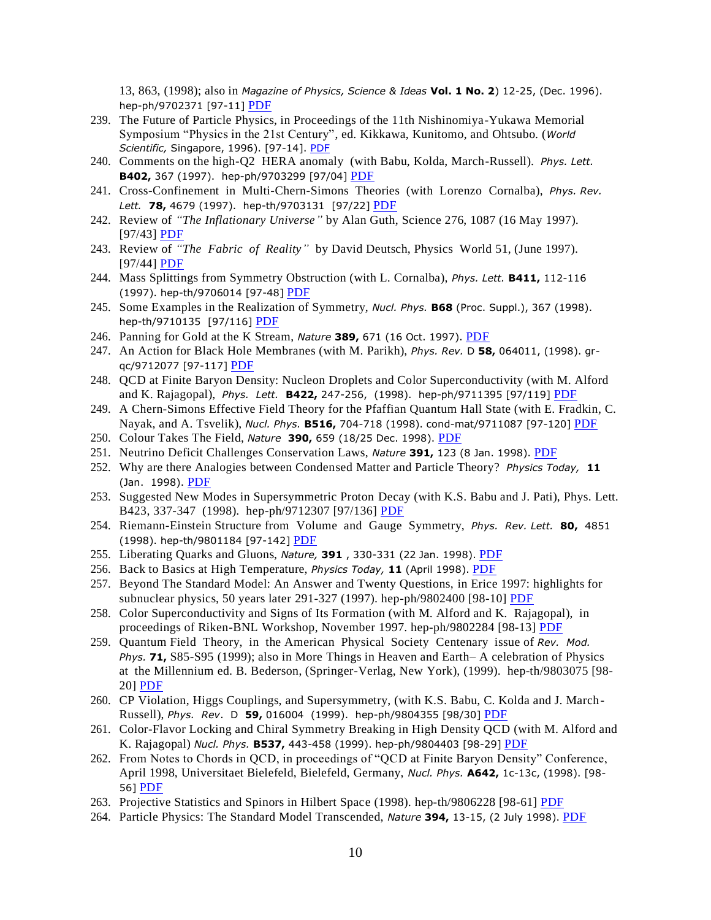13, 863, (1998); also in *Magazine of Physics, Science & Ideas* **Vol. 1 No. 2**) 12-25, (Dec. 1996). hep-ph/9702371 [97-11] [PDF](https://drive.google.com/open?id=0B7pl5V0YU9tadERRZnN1ZFZrTE0)

- 239. The Future of Particle Physics, in Proceedings of the 11th Nishinomiya-Yukawa Memorial Symposium "Physics in the 21st Century", ed. Kikkawa, Kunitomo, and Ohtsubo. (*World Scientific,* Singapore, 1996). [97-14]. [PDF](https://drive.google.com/file/d/13SetkArGvWFdlbkze9JYeyQeMWyILtPJ/view?usp=sharing)
- 240. Comments on the high-Q2 HERA anomaly (with Babu, Kolda, March-Russell). *Phys. Lett.* **B402,** 367 (1997). hep-ph/9703299 [97/04] [PDF](https://drive.google.com/open?id=0B7pl5V0YU9taRllPTnNjOG1fTEk)
- 241. Cross-Confinement in Multi-Chern-Simons Theories (with Lorenzo Cornalba), *Phys. Rev. Lett.* **78,** 4679 (1997). hep-th/9703131 [97/22] [PDF](https://drive.google.com/open?id=0B7pl5V0YU9taMnh1ZjFvb2MxZkU)
- 242. Review of *"The Inflationary Universe"* by Alan Guth, Science 276, 1087 (16 May 1997). [97/43] [PDF](https://drive.google.com/open?id=0B7pl5V0YU9taSVhPQjRLN2JubUk)
- 243. Review of *"The Fabric of Reality"* by David Deutsch, Physics World 51, (June 1997). [97/44] [PDF](https://drive.google.com/file/d/1ZrIM5A0_IKsmEfo_kJhyiogGz77Kpn6F/view?usp=sharing)
- 244. Mass Splittings from Symmetry Obstruction (with L. Cornalba), *Phys. Lett.* **B411,** 112-116 (1997). hep-th/9706014 [97-48] [PDF](https://drive.google.com/open?id=0B7pl5V0YU9taeVpzLVNDYnZSNWM)
- 245. Some Examples in the Realization of Symmetry, *Nucl. Phys.* **B68** (Proc. Suppl.), 367 (1998). hep-th/9710135 [97/116] [PDF](https://drive.google.com/open?id=0B7pl5V0YU9tac2Nfbl9QcjQycHc)
- 246. Panning for Gold at the K Stream, *Nature* **389,** 671 (16 Oct. 1997). [PDF](https://drive.google.com/open?id=0B7pl5V0YU9taYUotdGczcEdJRnc)
- 247. An Action for Black Hole Membranes (with M. Parikh), *Phys. Rev.* D **58,** 064011, (1998). grqc/9712077 [97-117] [PDF](https://drive.google.com/open?id=0B7pl5V0YU9tacmxOaUlLektjVkE)
- 248. QCD at Finite Baryon Density: Nucleon Droplets and Color Superconductivity (with M. Alford and K. Rajagopal), *Phys. Lett.* **B422,** 247-256, (1998). hep-ph/9711395 [97/119] [PDF](https://drive.google.com/open?id=0B7pl5V0YU9taNVVMUXhRSVRFUkU)
- 249. A Chern-Simons Effective Field Theory for the Pfaffian Quantum Hall State (with E. Fradkin, C. Nayak, and A. Tsvelik), *Nucl. Phys.* **B516,** 704-718 (1998). cond-mat/9711087 [97-120] [PDF](https://drive.google.com/open?id=0B7pl5V0YU9taTFVicTBnSHZ5UEE)
- 250. Colour Takes The Field, *Nature* **390,** 659 (18/25 Dec. 1998). [PDF](https://drive.google.com/open?id=0B7pl5V0YU9taaXFKcVpMano2V3M)
- 251. Neutrino Deficit Challenges Conservation Laws, *Nature* **391,** 123 (8 Jan. 1998). [PDF](https://drive.google.com/open?id=0B7pl5V0YU9tab3BlZ21NNjhuT0E)
- 252. Why are there Analogies between Condensed Matter and Particle Theory? *Physics Today,* **11**  (Jan. 1998). [PDF](https://drive.google.com/file/d/1vKpNhvir8m2cv7YdJfzsueO5sMTvbNju/view?usp=sharing)
- 253. Suggested New Modes in Supersymmetric Proton Decay (with K.S. Babu and J. Pati), Phys. Lett. B423, 337-347 (1998). hep-ph/9712307 [97/136] [PDF](https://drive.google.com/open?id=0B7pl5V0YU9taRUpMSHYxOGMxOVU)
- 254. Riemann-Einstein Structure from Volume and Gauge Symmetry, *Phys. Rev. Lett.* **80,** 4851 (1998). hep-th/9801184 [97-142] [PDF](https://drive.google.com/open?id=0B7pl5V0YU9taSzViWnZnamM5VFk)
- 255. Liberating Quarks and Gluons, *Nature,* **391** , 330-331 (22 Jan. 1998). [PDF](https://drive.google.com/open?id=0B7pl5V0YU9taem14LTZ1d3M2aFE)
- 256. Back to Basics at High Temperature, *Physics Today,* **11** (April 1998). [PDF](https://drive.google.com/file/d/15qfyO6Ip-nE_naGQEZHPKTuKP8YYBGpE/view?usp=sharing)
- 257. Beyond The Standard Model: An Answer and Twenty Questions, in Erice 1997: highlights for subnuclear physics, 50 years later 291-327 (1997). hep-ph/9802400 [98-10] [PDF](https://drive.google.com/open?id=0B7pl5V0YU9tad2l2VEVJSkNMZG8)
- 258. Color Superconductivity and Signs of Its Formation (with M. Alford and K. Rajagopal), in proceedings of Riken-BNL Workshop, November 1997. hep-ph/9802284 [98-13] [PDF](https://drive.google.com/open?id=0B7pl5V0YU9tadWlwS3cxZEM2TFE)
- 259. Quantum Field Theory, in the American Physical Society Centenary issue of *Rev. Mod. Phys.* **71,** S85-S95 (1999); also in More Things in Heaven and Earth– A celebration of Physics at the Millennium ed. B. Bederson, (Springer-Verlag, New York), (1999). hep-th/9803075 [98- 20] [PDF](https://drive.google.com/open?id=0B7pl5V0YU9taMFJJN25qTjc0bUU)
- 260. CP Violation, Higgs Couplings, and Supersymmetry, (with K.S. Babu, C. Kolda and J. March-Russell), *Phys. Rev*. D **59,** 016004 (1999). hep-ph/9804355 [98/30] [PDF](https://drive.google.com/open?id=0B7pl5V0YU9taMnU4V0E0ZEh4V28)
- 261. Color-Flavor Locking and Chiral Symmetry Breaking in High Density QCD (with M. Alford and K. Rajagopal) *Nucl. Phys.* **B537,** 443-458 (1999). hep-ph/9804403 [98-29] [PDF](https://drive.google.com/open?id=0B7pl5V0YU9taZkJYNmQ2LWdVazg)
- 262. From Notes to Chords in QCD, in proceedings of "QCD at Finite Baryon Density" Conference, April 1998, Universitaet Bielefeld, Bielefeld, Germany, *Nucl. Phys.* **A642,** 1c-13c, (1998). [98- 56] [PDF](https://drive.google.com/file/d/1HawlLkeSoNpfTRI9tVihm_mlWkxaUORz/view?usp=sharing)
- 263. Projective Statistics and Spinors in Hilbert Space (1998). hep-th/9806228 [98-61] [PDF](https://drive.google.com/open?id=0B7pl5V0YU9taVFk4TWJGM3JUbUU)
- 264. Particle Physics: The Standard Model Transcended, *Nature* **394,** 13-15, (2 July 1998). [PDF](https://drive.google.com/open?id=0B7pl5V0YU9taM19EU25yRWJSLTA)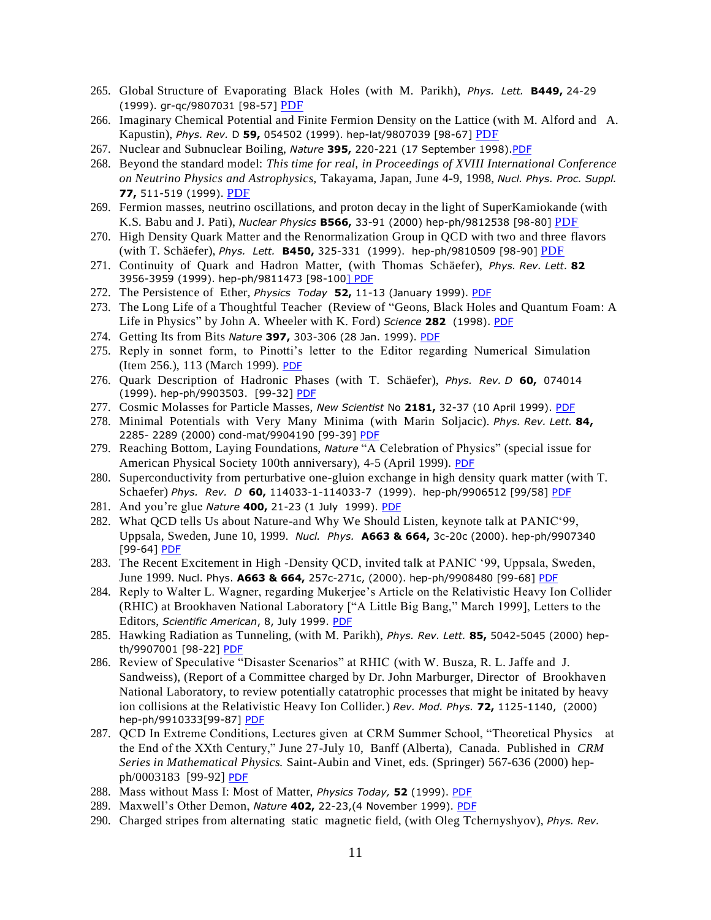- 265. Global Structure of Evaporating Black Holes (with M. Parikh), *Phys. Lett.* **B449,** 24-29 (1999). gr-qc/9807031 [98-57] [PDF](https://drive.google.com/open?id=0B7pl5V0YU9tabkV3aF9xVVFoYW8)
- 266. Imaginary Chemical Potential and Finite Fermion Density on the Lattice (with M. Alford and A. Kapustin), *Phys. Rev.* D **59,** 054502 (1999). hep-lat/9807039 [98-67] [PDF](https://drive.google.com/open?id=0B7pl5V0YU9taNktjT0Itdy1BVmM)
- 267. Nuclear and Subnuclear Boiling, *Nature* **395,** 220-221 (17 September 1998)[.PDF](https://drive.google.com/open?id=0B7pl5V0YU9taZ3BEQndTS0tvMjg)
- 268. Beyond the standard model: *This time for real, in Proceedings of XVIII International Conference on Neutrino Physics and Astrophysics,* Takayama, Japan, June 4-9, 1998, *Nucl. Phys. Proc. Suppl.*  **77,** 511-519 (1999). [PDF](https://drive.google.com/file/d/1HoWgo1kmazN6VArxe46OVnlyBEA9zHZ6/view?usp=sharing)
- 269. Fermion masses, neutrino oscillations, and proton decay in the light of SuperKamiokande (with K.S. Babu and J. Pati), *Nuclear Physics* **B566,** 33-91 (2000) hep-ph/9812538 [98-80] [PDF](https://drive.google.com/open?id=0B7pl5V0YU9taR0xGRVBrMWZObGs)
- 270. High Density Quark Matter and the Renormalization Group in QCD with two and three flavors (with T. Schäefer), *Phys. Lett.* **B450,** 325-331 (1999). hep-ph/9810509 [98-90] [PDF](https://drive.google.com/open?id=0B7pl5V0YU9taejJSV3hRaEZsTzA)
- 271. Continuity of Quark and Hadron Matter, (with Thomas Schäefer), *Phys. Rev. Lett.* **82** 3956-3959 (1999). hep-ph/9811473 [98-100] [PDF](https://drive.google.com/file/d/1h610HkmEjT9ztRIq0ZP5LAXCMbDWUH2p/view?usp=sharing)
- 272. The Persistence of Ether, *Physics Today* **52,** 11-13 (January 1999). [PDF](https://drive.google.com/open?id=0B7pl5V0YU9taaXE0ZWJNRzlHNlU)
- 273. The Long Life of a Thoughtful Teacher (Review of "Geons, Black Holes and Quantum Foam: A Life in Physics" by John A. Wheeler with K. Ford) *Science* **282** (1998). [PDF](https://drive.google.com/file/d/14Z_6XW_pnYpS5panUuOV1P2MPZqTF-Ck/view?usp=sharing)
- 274. Getting Its from Bits *Nature* **397,** 303-306 (28 Jan. 1999). [PDF](https://drive.google.com/open?id=0B7pl5V0YU9taNU5VN3RWUzYzLXM)
- 275. Reply in sonnet form, to Pinotti's letter to the Editor regarding Numerical Simulation (Item 256.), 113 (March 1999). [PDF](https://drive.google.com/open?id=0B7pl5V0YU9taQ2lDamVFdmlHQmM)
- 276. Quark Description of Hadronic Phases (with T. Schäefer), *Phys. Rev. D* **60,** 074014 (1999). hep-ph/9903503. [99-32] [PDF](https://drive.google.com/file/d/1ke2qy-cNw43IbSDZkZrilMDpPoKRVR0S/view?usp=sharing)
- 277. Cosmic Molasses for Particle Masses, *New Scientist* No **2181,** 32-37 (10 April 1999). [PDF](https://drive.google.com/file/d/13WJT8K1UNg1ooWMAJaGyb4oYqbUwDKRC/view?usp=sharing)
- 278. Minimal Potentials with Very Many Minima (with Marin Soljacic). *Phys. Rev. Lett.* **84,** 2285- 2289 (2000) cond-mat/9904190 [99-39] [PDF](https://drive.google.com/open?id=0B7pl5V0YU9taYlQtSklFM3VKdTg)
- 279. Reaching Bottom, Laying Foundations, *Nature* "A Celebration of Physics" (special issue for American Physical Society 100th anniversary), 4-5 (April 1999). [PDF](https://drive.google.com/file/d/0B7pl5V0YU9tadmZLWndfbjJNenc/view?usp=sharing)
- 280. Superconductivity from perturbative one-gluion exchange in high density quark matter (with T. Schaefer) *Phys. Rev. D* **60,** 114033-1-114033-7 (1999). hep-ph/9906512 [99/58] [PDF](https://drive.google.com/open?id=0B7pl5V0YU9tadHpyQ1FycVpqMWc)
- 281. And you're glue *Nature* **400,** 21-23 (1 July 1999). [PDF](https://drive.google.com/open?id=0B7pl5V0YU9taM3pSMnJkNWZUNDQ)
- 282. What QCD tells Us about Nature-and Why We Should Listen, keynote talk at PANIC'99, Uppsala, Sweden, June 10, 1999. *Nucl. Phys.* **A663 & 664,** 3c-20c (2000). hep-ph/9907340 [99-64] **[PDF](https://drive.google.com/open?id=0B7pl5V0YU9tacThjaGFxbVU0cmM)**
- 283. The Recent Excitement in High -Density QCD, invited talk at PANIC '99, Uppsala, Sweden, June 1999. Nucl. Phys. **A663 & 664,** 257c-271c, (2000). hep-ph/9908480 [99-68] [PDF](https://drive.google.com/open?id=0B7pl5V0YU9taUGpRRXpVaU45blU)
- 284. Reply to Walter L. Wagner, regarding Mukerjee's Article on the Relativistic Heavy Ion Collider (RHIC) at Brookhaven National Laboratory ["A Little Big Bang," March 1999], Letters to the Editors, *Scientific American*, 8, July 1999. [PDF](https://drive.google.com/file/d/1tNMFMpG-DG5c70ibfByzFC2CiyeQCzmt/view?usp=sharing)
- 285. Hawking Radiation as Tunneling, (with M. Parikh), *Phys. Rev. Lett.* **85,** 5042-5045 (2000) hep-th/9907001 [98-22] [PDF](https://drive.google.com/open?id=0B7pl5V0YU9taWEQxMTFTd19jakU)
- 286. Review of Speculative "Disaster Scenarios" at RHIC (with W. Busza, R. L. Jaffe and J. Sandweiss), (Report of a Committee charged by Dr. John Marburger, Director of Brookhaven National Laboratory, to review potentially catatrophic processes that might be initated by heavy ion collisions at the Relativistic Heavy Ion Collider.) *Rev. Mod. Phys.* **72,** 1125-1140, (2000) hep-ph/9910333[99-87] [PDF](https://drive.google.com/open?id=0B7pl5V0YU9taYVJHQW8xRXZBV3M)
- 287. QCD In Extreme Conditions, Lectures given at CRM Summer School, "Theoretical Physics at the End of the XXth Century," June 27-July 10, Banff (Alberta), Canada. Published in *CRM Series in Mathematical Physics.* Saint-Aubin and Vinet, eds. (Springer) 567-636 (2000) hepph/0003183 [99-92] [PDF](https://drive.google.com/open?id=0B7pl5V0YU9taUGotb3J0enJFQWc)
- 288. Mass without Mass I: Most of Matter, *Physics Today,* **52** (1999). [PDF](https://drive.google.com/open?id=0B7pl5V0YU9taeEJpWkhaNElnQW8)
- 289. Maxwell's Other Demon, *Nature* **402,** 22-23,(4 November 1999). [PDF](https://drive.google.com/open?id=0B7pl5V0YU9taZVJrQnQyTjZJcGs)
- 290. Charged stripes from alternating static magnetic field, (with Oleg Tchernyshyov), *Phys. Rev.*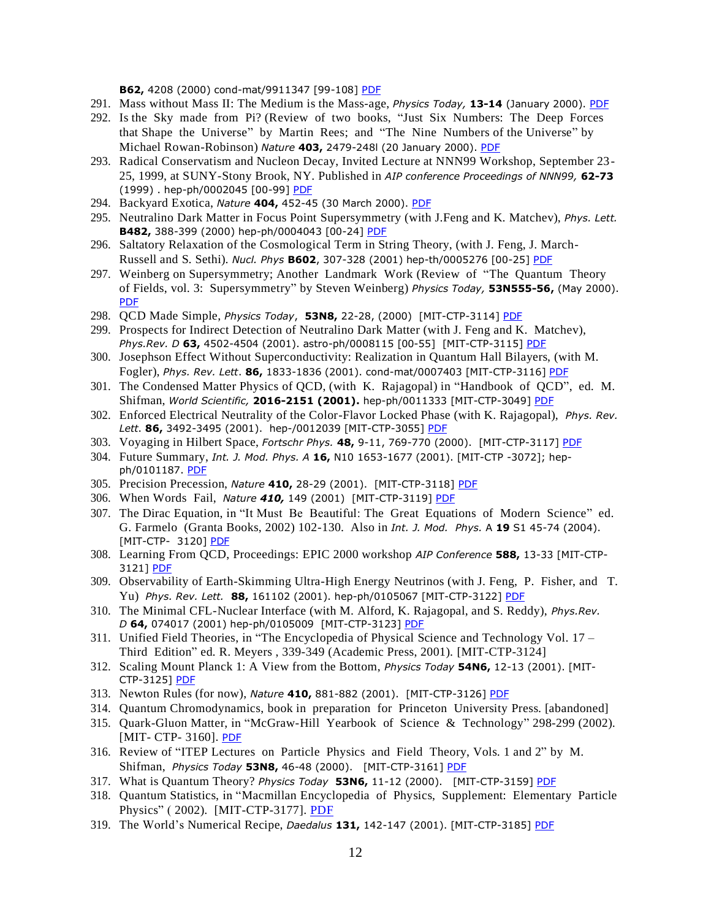**B62,** 4208 (2000) cond-mat/9911347 [99-108] [PDF](https://drive.google.com/open?id=0B7pl5V0YU9taWHdKNDkzZ2l0aU0)

- 291. Mass without Mass II: The Medium is the Mass-age, *Physics Today,* **13-14** (January 2000). [PDF](https://drive.google.com/open?id=0B7pl5V0YU9taRDdrNWdKR2hmd2s)
- 292. Is the Sky made from Pi? (Review of two books, "Just Six Numbers: The Deep Forces that Shape the Universe" by Martin Rees; and "The Nine Numbers of the Universe" by Michael Rowan-Robinson) *Nature* **403,** 2479-248l (20 January 2000). [PDF](https://drive.google.com/open?id=0B7pl5V0YU9taWnFFd2VKRTBMT1E)
- 293. Radical Conservatism and Nucleon Decay, Invited Lecture at NNN99 Workshop, September 23- 25, 1999, at SUNY-Stony Brook, NY. Published in *AIP conference Proceedings of NNN99,* **62-73** (1999) . hep-ph/0002045 [00-99] [PDF](https://drive.google.com/open?id=0B7pl5V0YU9taenBfQjhfMmdMREU)
- 294. Backyard Exotica, *Nature* **404,** 452-45 (30 March 2000). [PDF](https://drive.google.com/open?id=0B7pl5V0YU9tac3ctVk5KRTZueG8)
- 295. Neutralino Dark Matter in Focus Point Supersymmetry (with J.Feng and K. Matchev), *Phys. Lett.*  **B482,** 388-399 (2000) hep-ph/0004043 [00-24] [PDF](https://drive.google.com/open?id=0B7pl5V0YU9taSEx4R2xGYy1XSFk)
- 296. Saltatory Relaxation of the Cosmological Term in String Theory, (with J. Feng, J. March-Russell and S. Sethi). *Nucl. Phys* **B602**, 307-328 (2001) hep-th/0005276 [00-25] [PDF](https://drive.google.com/file/d/1D1bTzw_fqp1Lkbcef0NW0V8CUOMJDs41/view?usp=sharing)
- 297. Weinberg on Supersymmetry; Another Landmark Work (Review of "The Quantum Theory of Fields, vol. 3: Supersymmetry" by Steven Weinberg) *Physics Today,* **53N555-56,** (May 2000). [PDF](https://drive.google.com/open?id=0B7pl5V0YU9tad1YwSDh3dkI5aWM)
- 298. QCD Made Simple, *Physics Today*, **53N8,** 22-28, (2000) [MIT-CTP-3114] [PDF](https://drive.google.com/file/d/1TqlXZMLRvvN63LdDFrGIdrFYs2LR5IMH/view?usp=sharing)
- 299. Prospects for Indirect Detection of Neutralino Dark Matter (with J. Feng and K. Matchev), *Phys.Rev. D* **63,** 4502-4504 (2001). astro-ph/0008115 [00-55] [MIT-CTP-3115] [PDF](https://drive.google.com/file/d/1scB6TpvTFdk9VG6gLnl9SLpGyiajX1cB/view?usp=sharing)
- 300. Josephson Effect Without Superconductivity: Realization in Quantum Hall Bilayers, (with M. Fogler), *Phys. Rev. Lett*. **86,** 1833-1836 (2001). cond-mat/0007403 [MIT-CTP-3116] [PDF](https://drive.google.com/open?id=0B7pl5V0YU9taV2RjbUlGRFZPTTQ)
- 301. The Condensed Matter Physics of QCD, (with K. Rajagopal) in "Handbook of QCD", ed. M. Shifman, *World Scientific,* **2016-2151 (2001).** hep-ph/0011333 [MIT-CTP-3049] [PDF](https://drive.google.com/open?id=0B7pl5V0YU9tac2NFdzdRQ2JiSU0)
- 302. Enforced Electrical Neutrality of the Color-Flavor Locked Phase (with K. Rajagopal), *Phys. Rev. Lett*. **86,** 3492-3495 (2001). hep-/0012039 [MIT-CTP-3055] [PDF](https://drive.google.com/open?id=0B7pl5V0YU9taa3BmQmlVdDZPbkE)
- 303. Voyaging in Hilbert Space, *Fortschr Phys.* **48,** 9-11, 769-770 (2000). [MIT-CTP-3117] [PDF](https://drive.google.com/file/d/1ngb090tOcI6P4QldtgdYZgXIOhrtnihr/view?usp=sharing)
- 304. Future Summary, *Int. J. Mod. Phys. A* **16,** N10 1653-1677 (2001). [MIT-CTP -3072]; hep-ph/0101187. [PDF](https://drive.google.com/open?id=0B7pl5V0YU9taUjBHcXdLamdPaEU)
- 305. Precision Precession, *Nature* **410,** 28-29 (2001). [MIT-CTP-3118] [PDF](https://drive.google.com/open?id=0B7pl5V0YU9taUFBPaVJpNk44cEk)
- 306. When Words Fail, *Nature 410,* 149 (2001) [MIT-CTP-3119] [PDF](https://drive.google.com/open?id=0B7pl5V0YU9taOUFremtuTzZ6VVk)
- 307. The Dirac Equation, in "It Must Be Beautiful: The Great Equations of Modern Science" ed. G. Farmelo (Granta Books, 2002) 102-130. Also in *Int. J. Mod. Phys.* A **19** S1 45-74 (2004). [MIT-CTP- 3120] [PDF](https://drive.google.com/open?id=0B7pl5V0YU9taRWVUV1N6UC1VMWs)
- 308. Learning From QCD, Proceedings: EPIC 2000 workshop *AIP Conference* **588,** 13-33 [MIT-CTP-3121] [PDF](https://drive.google.com/file/d/1yySAWais1dCVeoy7sE6nAdsUw079-0UP/view?usp=sharing)
- 309. Observability of Earth-Skimming Ultra-High Energy Neutrinos (with J. Feng, P. Fisher, and T. Yu) *Phys. Rev. Lett.* **88,** 161102 (2001). hep-ph/0105067 [MIT-CTP-3122] [PDF](https://drive.google.com/open?id=0B7pl5V0YU9taMUxmQTJWSVBqMWM)
- 310. The Minimal CFL-Nuclear Interface (with M. Alford, K. Rajagopal, and S. Reddy), *Phys.Rev. D* **64,** 074017 (2001) hep-ph/0105009 [MIT-CTP-3123] [PDF](https://drive.google.com/open?id=0B7pl5V0YU9tac0pqYUlWcGdETGM)
- 311. Unified Field Theories, in "The Encyclopedia of Physical Science and Technology Vol. 17 Third Edition" ed. R. Meyers , 339-349 (Academic Press, 2001). [MIT-CTP-3124]
- 312. Scaling Mount Planck 1: A View from the Bottom, *Physics Today* **54N6,** 12-13 (2001). [MIT-CTP-3125] [PDF](https://drive.google.com/open?id=0B7pl5V0YU9taQm9YY29DMGxsVXM)
- 313. Newton Rules (for now), *Nature* **410,** 881-882 (2001). [MIT-CTP-3126] [PDF](https://drive.google.com/open?id=0B7pl5V0YU9tadFhNSEdPNTJTMFk)
- 314. Quantum Chromodynamics, book in preparation for Princeton University Press. [abandoned]
- 315. Quark-Gluon Matter, in "McGraw-Hill Yearbook of Science & Technology" 298-299 (2002). [MIT- CTP- 3160]. [PDF](https://drive.google.com/file/d/13Z9vz4wuQnsyAFQ5sVI5eM4LtegZbH0P/view?usp=sharing)
- 316. Review of "ITEP Lectures on Particle Physics and Field Theory, Vols. 1 and 2" by M. Shifman, *Physics Today* **53N8,** 46-48 (2000). [MIT-CTP-3161] [PDF](https://drive.google.com/open?id=0B7pl5V0YU9taNTIzOU8yaWQ2cWs)
- 317. What is Quantum Theory? *Physics Today* **53N6,** 11-12 (2000). [MIT-CTP-3159] [PDF](https://drive.google.com/open?id=0B7pl5V0YU9tabGozc2U2eGJQR1k)
- 318. Quantum Statistics, in "Macmillan Encyclopedia of Physics, Supplement: Elementary Particle Physics" (2002). [MIT-CTP-3177]. [PDF](https://drive.google.com/file/d/13eZnMkXgfLcPoaue01oU4JNsgi_D8rPL/view?usp=sharing)
- 319. The World's Numerical Recipe, *Daedalus* **131,** 142-147 (2001). [MIT-CTP-3185] [PDF](https://drive.google.com/open?id=0B7pl5V0YU9taSlRqdlo2MnJ0ejg)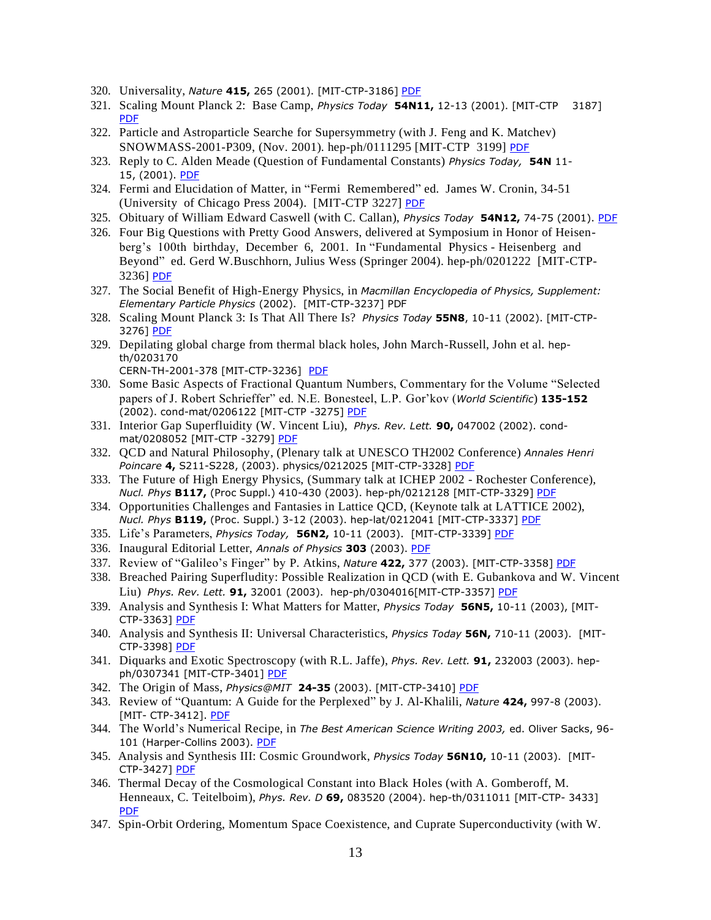- 320. Universality, *Nature* **415,** 265 (2001). [MIT-CTP-3186] [PDF](https://drive.google.com/open?id=0B7pl5V0YU9taMl9kOFU4VjR3Tnc)
- 321. Scaling Mount Planck 2: Base Camp, *Physics Today* **54N11,** 12-13 (2001). [MIT-CTP 3187] [PDF](https://drive.google.com/open?id=0B7pl5V0YU9tabjc4bTZpR1RlaGM)
- 322. Particle and Astroparticle Searche for Supersymmetry (with J. Feng and K. Matchev) SNOWMASS-2001-P309, (Nov. 2001). hep-ph/0111295 [MIT-CTP 3199] [PDF](https://drive.google.com/open?id=0B7pl5V0YU9taNG9aYXdRaG5ISnc)
- 323. Reply to C. Alden Meade (Question of Fundamental Constants) *Physics Today,* **54N** 11- 15, (2001). [PDF](https://drive.google.com/file/d/1hl1sWjXJjV61rhOcmokPNhADtpWDdv0Q/view?usp=sharing)
- 324. Fermi and Elucidation of Matter, in "Fermi Remembered" ed. James W. Cronin, 34-51 (University of Chicago Press 2004). [MIT-CTP 3227] [PDF](https://drive.google.com/open?id=0B7pl5V0YU9taOW5YNVg4d0owSzg)
- 325. Obituary of William Edward Caswell (with C. Callan), *Physics Today* **54N12,** 74-75 (2001). [PDF](https://drive.google.com/open?id=0B7pl5V0YU9tab1FhQ2xpQVZuZDA)
- 326. Four Big Questions with Pretty Good Answers, delivered at Symposium in Honor of Heisenberg's 100th birthday, December 6, 2001. In "Fundamental Physics - Heisenberg and Beyond" ed. Gerd W.Buschhorn, Julius Wess (Springer 2004). hep-ph/0201222 [MIT-CTP-3236] [PDF](https://drive.google.com/open?id=0B7pl5V0YU9taY2JXLU05WTdHRlU)
- 327. The Social Benefit of High-Energy Physics, in *Macmillan Encyclopedia of Physics, Supplement: Elementary Particle Physics* (2002). [MIT-CTP-3237] PDF
- 328. Scaling Mount Planck 3: Is That All There Is? *Physics Today* **55N8**, 10-11 (2002). [MIT-CTP-3276] [PDF](https://drive.google.com/open?id=0B7pl5V0YU9taQ2t6cGlETXlpQTQ)
- 329. Depilating global charge from thermal black holes, John March-Russell, John et al. hepth/0203170
	- CERN-TH-2001-378 [MIT-CTP-3236] [PDF](https://drive.google.com/open?id=0B7pl5V0YU9taTVA2bjJ3NHA0UXM)
- 330. Some Basic Aspects of Fractional Quantum Numbers, Commentary for the Volume "Selected papers of J. Robert Schrieffer" ed. N.E. Bonesteel, L.P. Gor'kov (*World Scientific*) **135-152** (2002). cond-mat/0206122 [MIT-CTP -3275] [PDF](https://drive.google.com/open?id=0B7pl5V0YU9taYXMxZFVZMF9NaGM)
- 331. Interior Gap Superfluidity (W. Vincent Liu), *Phys. Rev. Lett.* **90,** 047002 (2002). cond-mat/0208052 [MIT-CTP -3279] [PDF](https://drive.google.com/open?id=0B7pl5V0YU9tab0JxTFFLdnhLQU0)
- 332. QCD and Natural Philosophy, (Plenary talk at UNESCO TH2002 Conference) *Annales Henri Poincare* **4,** S211-S228, (2003). physics/0212025 [MIT-CTP-3328] [PDF](https://drive.google.com/open?id=0B7pl5V0YU9taM1prS0RIekFXTkU)
- 333. The Future of High Energy Physics, (Summary talk at ICHEP 2002 Rochester Conference), *Nucl. Phys* **B117,** (Proc Suppl.) 410-430 (2003). hep-ph/0212128 [MIT-CTP-3329] [PDF](https://drive.google.com/file/d/1ve2FIbO40RcyVUKtKpHxNTtMdNJAARwu/view?usp=sharing)
- 334. Opportunities Challenges and Fantasies in Lattice QCD, (Keynote talk at LATTICE 2002), *Nucl. Phys* **B119,** (Proc. Suppl.) 3-12 (2003). hep-lat/0212041 [MIT-CTP-3337] [PDF](https://drive.google.com/open?id=0B7pl5V0YU9tack1Za25lM29nQ1k)
- 335. Life's Parameters, *Physics Today,* **56N2,** 10-11 (2003). [MIT-CTP-3339] [PDF](https://drive.google.com/file/d/1_ZmIcvnrN1p07Q8IGWnUc5vCsCo_PlGN/view?usp=sharing)
- 336. Inaugural Editorial Letter, *Annals of Physics* **303** (2003). [PDF](https://drive.google.com/open?id=0B7pl5V0YU9taaDNvREw5TVlYZEk)
- 337. Review of "Galileo's Finger" by P. Atkins, *Nature* **422,** 377 (2003). [MIT-CTP-3358] [PDF](https://drive.google.com/open?id=0B7pl5V0YU9taLU5rN0JBV2daZVE)
- 338. Breached Pairing Superfludity: Possible Realization in QCD (with E. Gubankova and W. Vincent Liu) *Phys. Rev. Lett.* **91,** 32001 (2003). hep-ph/0304016[MIT-CTP-3357] [PDF](https://drive.google.com/open?id=0B7pl5V0YU9taYW5mejIwNE1tN0k)
- 339. Analysis and Synthesis I: What Matters for Matter, *Physics Today* **56N5,** 10-11 (2003), [MIT-CTP-3363] [PDF](https://drive.google.com/open?id=0B7pl5V0YU9taanpsRmo0dU9tdnM)
- 340. Analysis and Synthesis II: Universal Characteristics, *Physics Today* **56N,** 710-11 (2003). [MIT-CTP-3398] [PDF](https://drive.google.com/open?id=0B7pl5V0YU9taeUZxYXhhcWY5Y1k)
- 341. Diquarks and Exotic Spectroscopy (with R.L. Jaffe), *Phys. Rev. Lett.* **91,** 232003 (2003). hep-ph/0307341 [MIT-CTP-3401] [PDF](https://drive.google.com/open?id=0B7pl5V0YU9taakltRXdvazFicEE)
- 342. The Origin of Mass, *Physics@MIT* **24-35** (2003). [MIT-CTP-3410] [PDF](https://drive.google.com/file/d/149aMU0PGHko6pUEMqahH1u84m6Zi7raK/view?usp=sharing)
- 343. Review of "Quantum: A Guide for the Perplexed" by J. Al-Khalili, *Nature* **424,** 997-8 (2003). [MIT- CTP-3412]. [PDF](https://drive.google.com/file/d/13jJS6nF9GKPL3QtFWi49RZIJAtKlvSAF/view?usp=sharing)
- 344. The World's Numerical Recipe, in *The Best American Science Writing 2003,* ed. Oliver Sacks, 96- 101 (Harper-Collins 2003). [PDF](https://drive.google.com/file/d/1U4l0G39nIQ5PLZrnbTUUNfwv05d-KuXr/view?usp=sharing)
- 345. Analysis and Synthesis III: Cosmic Groundwork, *Physics Today* **56N10,** 10-11 (2003). [MIT-CTP-3427] [PDF](https://drive.google.com/open?id=0B7pl5V0YU9taTjdnbzZvQmMxck0)
- 346. Thermal Decay of the Cosmological Constant into Black Holes (with A. Gomberoff, M. Henneaux, C. Teitelboim), *Phys. Rev. D* **69,** 083520 (2004). hep-th/0311011 [MIT-CTP- 3433] [PDF](https://drive.google.com/open?id=0B7pl5V0YU9taU0Z0TnY1VzFWbVU)
- 347. Spin-Orbit Ordering, Momentum Space Coexistence, and Cuprate Superconductivity (with W.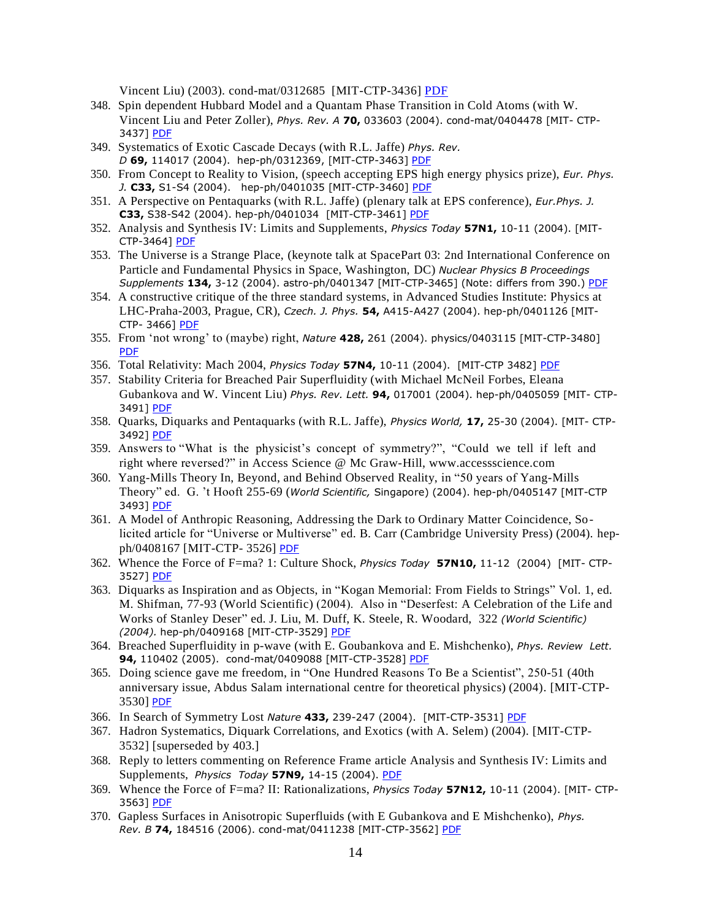Vincent Liu) (2003). cond-mat/0312685 [MIT-CTP-3436] [PDF](https://drive.google.com/open?id=0B7pl5V0YU9taN25TY0N0MF8yMTQ)

- 348. Spin dependent Hubbard Model and a Quantam Phase Transition in Cold Atoms (with W. Vincent Liu and Peter Zoller), *Phys. Rev. A* **70,** 033603 (2004). cond-mat/0404478 [MIT- CTP-3437] [PDF](https://drive.google.com/open?id=0B7pl5V0YU9taSmU0b0RucFpESnM)
- 349. Systematics of Exotic Cascade Decays (with R.L. Jaffe) *Phys. Rev. D* **69,** 114017 (2004). hep-ph/0312369, [MIT-CTP-3463] [PDF](https://drive.google.com/open?id=0B7pl5V0YU9taUEFjRXR5M2Q3REE)
- 350. From Concept to Reality to Vision, (speech accepting EPS high energy physics prize), *Eur. Phys. J.* **C33,** S1-S4 (2004). hep-ph/0401035 [MIT-CTP-3460] [PDF](https://drive.google.com/open?id=0B7pl5V0YU9taalljOHFMWDR2b2M)
- 351. A Perspective on Pentaquarks (with R.L. Jaffe) (plenary talk at EPS conference), *Eur.Phys. J.* **C33,** S38-S42 (2004). hep-ph/0401034 [MIT-CTP-3461] [PDF](https://drive.google.com/open?id=0B7pl5V0YU9taQk9VdDl4dlNGNTA)
- 352. Analysis and Synthesis IV: Limits and Supplements, *Physics Today* **57N1,** 10-11 (2004). [MIT-CTP-3464] [PDF](https://drive.google.com/open?id=0B7pl5V0YU9taT3JadENuOF82WG8)
- 353. The Universe is a Strange Place, (keynote talk at SpacePart 03: 2nd International Conference on Particle and Fundamental Physics in Space, Washington, DC) *Nuclear Physics B Proceedings Supplements* **134,** 3-12 (2004). astro-ph/0401347 [MIT-CTP-3465] (Note: differs from 390.) [PDF](https://drive.google.com/open?id=0B7pl5V0YU9taUHRRSXRNYWNYeHM)
- 354. A constructive critique of the three standard systems, in Advanced Studies Institute: Physics at LHC-Praha-2003, Prague, CR), *Czech. J. Phys.* **54,** A415-A427 (2004). hep-ph/0401126 [MIT-CTP- 3466] [PDF](https://drive.google.com/open?id=0B7pl5V0YU9taSlVMWXFNV3U3cVU)
- 355. From 'not wrong' to (maybe) right, *Nature* **428,** 261 (2004). physics/0403115 [MIT-CTP-3480] [PDF](https://drive.google.com/open?id=0B7pl5V0YU9taX3JOSzczMmdZeUE)
- 356. Total Relativity: Mach 2004, *Physics Today* **57N4,** 10-11 (2004). [MIT-CTP 3482] [PDF](https://drive.google.com/open?id=0B7pl5V0YU9taWV90dzd1M1FwZ1E)
- 357. Stability Criteria for Breached Pair Superfluidity (with Michael McNeil Forbes, Eleana Gubankova and W. Vincent Liu) *Phys. Rev. Lett.* **94,** 017001 (2004). hep-ph/0405059 [MIT- CTP-3491] [PDF](https://drive.google.com/open?id=0B7pl5V0YU9tad2ZXbi1DZE4zRVk)
- 358. Quarks, Diquarks and Pentaquarks (with R.L. Jaffe), *Physics World,* **17,** 25-30 (2004). [MIT- CTP-3492] [PDF](https://drive.google.com/file/d/169CyqKXWYhMDN1HqNpIeSMunnpOFAShL/view?usp=sharing)
- 359. Answers to "What is the physicist's concept of symmetry?", "Could we tell if left and right where reversed?" in Access Science @ Mc Graw-Hill, [www.accessscience.com](http://www.accessscience.com/)
- 360. Yang-Mills Theory In, Beyond, and Behind Observed Reality, in "50 years of Yang-Mills Theory" ed. G. 't Hooft 255-69 (*World Scientific,* Singapore) (2004). hep-ph/0405147 [MIT-CTP 3493] [PDF](https://drive.google.com/open?id=0B7pl5V0YU9taSW9wMmM3N21NcHM)
- 361. A Model of Anthropic Reasoning, Addressing the Dark to Ordinary Matter Coincidence, Solicited article for "Universe or Multiverse" ed. B. Carr (Cambridge University Press) (2004). hepph/0408167 [MIT-CTP- 3526] [PDF](https://drive.google.com/open?id=0B7pl5V0YU9taR2lTWmNxOWVGbDA)
- 362. Whence the Force of F=ma? 1: Culture Shock, *Physics Today* **57N10,** 11-12 (2004) [MIT- CTP-3527] [PDF](https://drive.google.com/open?id=0B7pl5V0YU9tabkxDU0djSk1HalU)
- 363. Diquarks as Inspiration and as Objects, in "Kogan Memorial: From Fields to Strings" Vol. 1, ed. M. Shifman, 77-93 (World Scientific) (2004). Also in "Deserfest: A Celebration of the Life and Works of Stanley Deser" ed. J. Liu, M. Duff, K. Steele, R. Woodard, 322 *(World Scientific) (2004).* hep-ph/0409168 [MIT-CTP-3529] [PDF](https://drive.google.com/open?id=0B7pl5V0YU9taSXFaTlZyWDBvYjg)
- 364. Breached Superfluidity in p-wave (with E. Goubankova and E. Mishchenko), *Phys. Review Lett.* **94,** 110402 (2005). cond-mat/0409088 [MIT-CTP-3528] [PDF](https://drive.google.com/open?id=0B7pl5V0YU9taaTdvY3NrTEhVU2M)
- 365. Doing science gave me freedom, in "One Hundred Reasons To Be a Scientist", 250-51 (40th anniversary issue, Abdus Salam international centre for theoretical physics) (2004). [MIT-CTP-3530] [PDF](https://drive.google.com/file/d/1LUhltx3rriuNtpoGCFzJNKcGp60x_mKQ/view?usp=sharing)
- 366. In Search of Symmetry Lost *Nature* **433,** 239-247 (2004). [MIT-CTP-3531] [PDF](https://drive.google.com/open?id=0B7pl5V0YU9taX3hJRnpqMTZYN2M)
- 367. Hadron Systematics, Diquark Correlations, and Exotics (with A. Selem) (2004). [MIT-CTP-3532] [superseded by 403.]
- 368. Reply to letters commenting on Reference Frame article Analysis and Synthesis IV: Limits and Supplements, *Physics Today* **57N9,** 14-15 (2004). [PDF](https://drive.google.com/open?id=0B7pl5V0YU9taMTFORlBzc2ZsaUE)
- 369. Whence the Force of F=ma? II: Rationalizations, *Physics Today* **57N12,** 10-11 (2004). [MIT- CTP-3563] [PDF](https://drive.google.com/open?id=0B7pl5V0YU9taNjQyRUthc0RmNzA)
- 370. Gapless Surfaces in Anisotropic Superfluids (with E Gubankova and E Mishchenko), *Phys. Rev. B* **74,** 184516 (2006). cond-mat/0411238 [MIT-CTP-3562] [PDF](https://drive.google.com/open?id=0B7pl5V0YU9taWGdpUkZrWjFCd1E)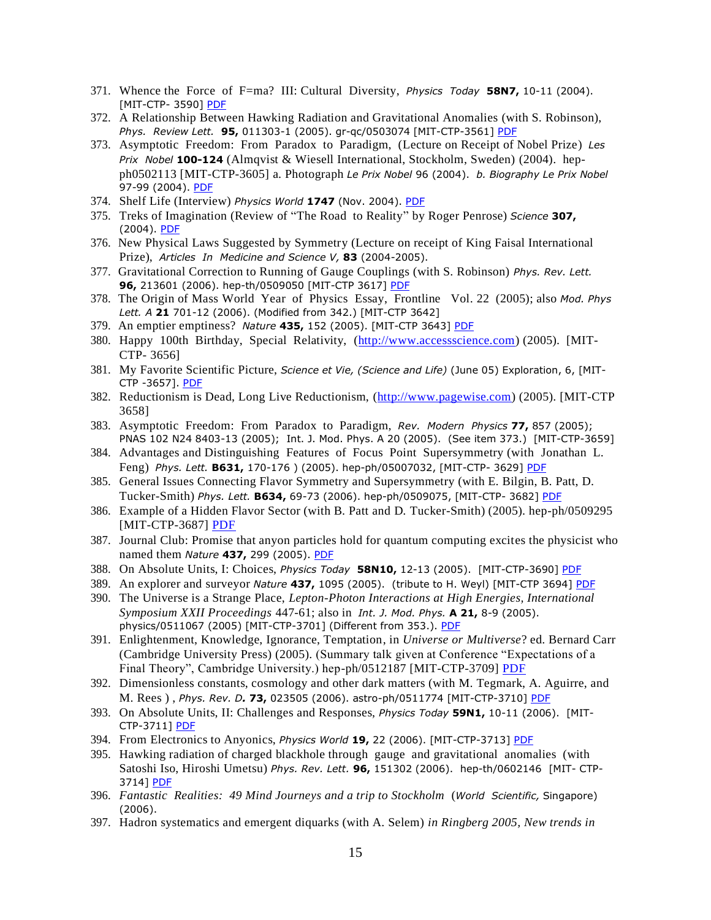- 371. Whence the Force of F=ma? III: Cultural Diversity, *Physics Today* **58N7,** 10-11 (2004). [MIT-CTP- 3590] [PDF](https://drive.google.com/open?id=0B7pl5V0YU9taaC1JNVNSckhtZjQ)
- 372. A Relationship Between Hawking Radiation and Gravitational Anomalies (with S. Robinson), *Phys. Review Lett.* **95,** 011303-1 (2005). gr-qc/0503074 [MIT-CTP-3561] [PDF](https://drive.google.com/open?id=0B7pl5V0YU9taeGdVUnBVbVpKUTA)
- 373. Asymptotic Freedom: From Paradox to Paradigm, (Lecture on Receipt of Nobel Prize) *Les Prix Nobel* **100-124** (Almqvist & Wiesell International, Stockholm, Sweden) (2004). hepph0502113 [MIT-CTP-3605] a. Photograph *Le Prix Nobel* 96 (2004). *b. Biography Le Prix Nobel*  97-99 (2004). [PDF](https://drive.google.com/open?id=0B7pl5V0YU9tabU4xZW5tYndwQk0)
- 374. Shelf Life (Interview) *Physics World* **1747** (Nov. 2004). [PDF](https://drive.google.com/file/d/1Ltv3ZXTkhLEUJO3g1ktGxaEIFx5fzuU1/view?usp=sharing)
- 375. Treks of Imagination (Review of "The Road to Reality" by Roger Penrose) *Science* **307,** (2004). [PDF](https://drive.google.com/file/d/1kGM1po08GAWYJMcyx5E_UAuR8ggX6-0C/view?usp=sharing)
- 376. New Physical Laws Suggested by Symmetry (Lecture on receipt of King Faisal International Prize), *Articles In Medicine and Science V,* **83** (2004-2005).
- 377. Gravitational Correction to Running of Gauge Couplings (with S. Robinson) *Phys. Rev. Lett.* **96,** 213601 (2006). hep-th/0509050 [MIT-CTP 3617] [PDF](https://drive.google.com/open?id=0B7pl5V0YU9taTzIxQVJha0RDZlE)
- 378. The Origin of Mass World Year of Physics Essay, Frontline Vol. 22 (2005); also *Mod. Phys Lett. A* **21** 701-12 (2006). (Modified from 342.) [MIT-CTP 3642]
- 379. An emptier emptiness? *Nature* **435,** 152 (2005). [MIT-CTP 3643] [PDF](https://drive.google.com/open?id=0B7pl5V0YU9taSWVFZFpJanl2MDg)
- 380. Happy 100th Birthday, Special Relativity, [\(http://www.accessscience.com\)](http://www.accessscience.com/) (2005). [MIT-CTP- 3656]
- 381. My Favorite Scientific Picture, *Science et Vie, (Science and Life)* (June 05) Exploration, 6, [MIT-CTP -3657]. [PDF](https://drive.google.com/file/d/13jLT7E4DuKPKIxGJOSXXky7zmXL8NI_F/view?usp=sharing)
- 382. Reductionism is Dead, Long Live Reductionism, [\(http://www.pagewise.com\)](http://www.pagewise.com/) (2005). [MIT-CTP 3658]
- 383. Asymptotic Freedom: From Paradox to Paradigm, *Rev. Modern Physics* **77,** 857 (2005); PNAS 102 N24 8403-13 (2005); Int. J. Mod. Phys. A 20 (2005). (See item 373.) [MIT-CTP-3659]
- 384. Advantages and Distinguishing Features of Focus Point Supersymmetry (with Jonathan L. Feng) *Phys. Lett.* **B631,** 170-176 ) (2005). hep-ph/05007032, [MIT-CTP- 3629] [PDF](https://drive.google.com/open?id=0B7pl5V0YU9taNEJhS0VmMU1HdVE)
- 385. General Issues Connecting Flavor Symmetry and Supersymmetry (with E. Bilgin, B. Patt, D. Tucker-Smith) *Phys. Lett.* **B634,** 69-73 (2006). hep-ph/0509075, [MIT-CTP- 3682] [PDF](https://drive.google.com/open?id=0B7pl5V0YU9taZ21BeHhmTFZUd2c)
- 386. Example of a Hidden Flavor Sector (with B. Patt and D. Tucker-Smith) (2005). hep-ph/0509295 [MIT-CTP-3687] [PDF](https://drive.google.com/open?id=0B7pl5V0YU9taZzhteEoyMDZnLW8)
- 387. Journal Club: Promise that anyon particles hold for quantum computing excites the physicist who named them *Nature* **437,** 299 (2005). [PDF](https://drive.google.com/open?id=0B7pl5V0YU9taTWFuMC03cC16X1k)
- 388. On Absolute Units, I: Choices, *Physics Today* **58N10,** 12-13 (2005). [MIT-CTP-3690] [PDF](https://drive.google.com/open?id=0B7pl5V0YU9taWUM5dFBwNWR6M3c)
- 389. An explorer and surveyor *Nature* **437,** 1095 (2005). (tribute to H. Weyl) [MIT-CTP 3694] [PDF](https://drive.google.com/open?id=0B7pl5V0YU9taQW00NmliSHpBdGc)
- 390. The Universe is a Strange Place, *Lepton-Photon Interactions at High Energies, International Symposium XXII Proceedings* 447-61; also in *Int. J. Mod. Phys.* **A 21,** 8-9 (2005). physics/0511067 (2005) [MIT-CTP-3701] (Different from 353.). [PDF](https://drive.google.com/file/d/13nkDnY0HsAmHGPYIBhQ6Ogz2gqWNqiFQ/view?usp=sharing)
- 391. Enlightenment, Knowledge, Ignorance, Temptation, in *Universe or Multiverse*? ed. Bernard Carr (Cambridge University Press) (2005). (Summary talk given at Conference "Expectations of a Final Theory", Cambridge University.) hep-ph/0512187 [MIT-CTP-3709] [PDF](https://drive.google.com/open?id=0B7pl5V0YU9taeUc3bHdmampFMEk)
- 392. Dimensionless constants, cosmology and other dark matters (with M. Tegmark, A. Aguirre, and M. Rees ) , *Phys. Rev. D.* **73,** 023505 (2006). astro-ph/0511774 [MIT-CTP-3710] [PDF](https://drive.google.com/file/d/1yK93HUKerHOZxCZ4D3gZHqLUgdr3ProN/view?usp=sharing)
- 393. On Absolute Units, II: Challenges and Responses, *Physics Today* **59N1,** 10-11 (2006). [MIT-CTP-3711] [PDF](https://drive.google.com/open?id=0B7pl5V0YU9taQl9uVkZvSU8tY0E)
- 394. From Electronics to Anyonics, *Physics World* **19,** 22 (2006). [MIT-CTP-3713] [PDF](https://drive.google.com/open?id=0B7pl5V0YU9taTWpMTmZHUEhFcFU)
- 395. Hawking radiation of charged blackhole through gauge and gravitational anomalies (with Satoshi Iso, Hiroshi Umetsu) *Phys. Rev. Lett.* **96,** 151302 (2006). hep-th/0602146 [MIT- CTP-3714] [PDF](https://drive.google.com/open?id=0B7pl5V0YU9taVHJEWFNNX2l3MjA)
- 396. *Fantastic Realities: 49 Mind Journeys and a trip to Stockholm* (*World Scientific,* Singapore) (2006).
- 397. Hadron systematics and emergent diquarks (with A. Selem) *in Ringberg 2005, New trends in*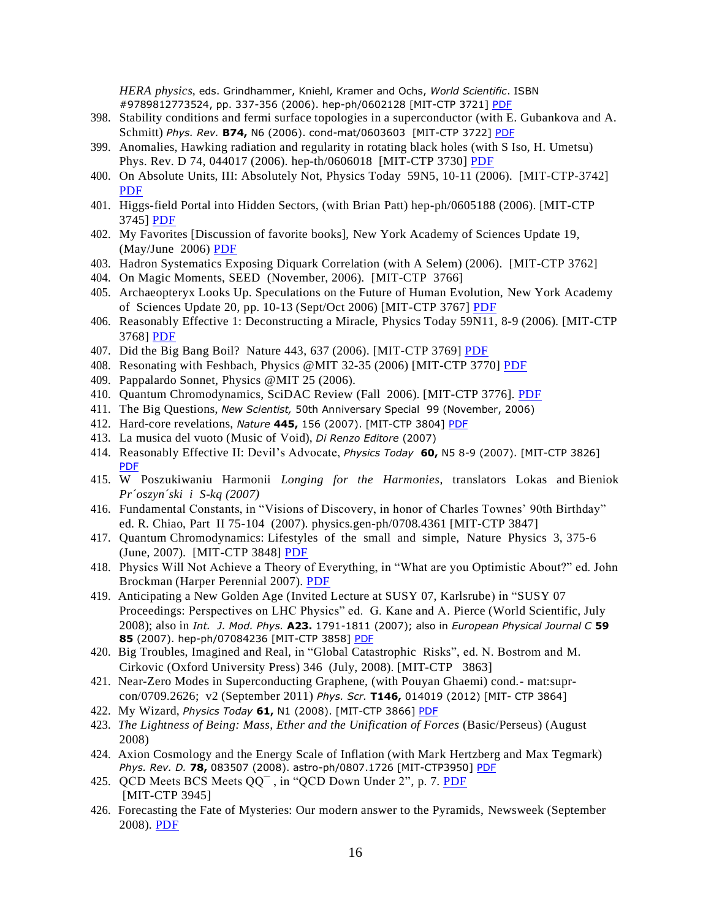*HERA physics,* eds. Grindhammer, Kniehl, Kramer and Ochs, *World Scientific*. ISBN #9789812773524, pp. 337-356 (2006). hep-ph/0602128 [MIT-CTP 3721] [PDF](https://drive.google.com/open?id=0B7pl5V0YU9taZURVOVlIeFFUbEU)

- 398. Stability conditions and fermi surface topologies in a superconductor (with E. Gubankova and A. Schmitt) *Phys. Rev.* **B74,** N6 (2006). cond-mat/0603603 [MIT-CTP 3722] [PDF](https://drive.google.com/open?id=0B7pl5V0YU9taVGJySUZqMGFXbzg)
- 399. Anomalies, Hawking radiation and regularity in rotating black holes (with S Iso, H. Umetsu) Phys. Rev. D 74, 044017 (2006). hep-th/0606018 [MIT-CTP 3730] [PDF](https://drive.google.com/open?id=0B7pl5V0YU9taWnA3ZGZBQ19jYTg)
- 400. On Absolute Units, III: Absolutely Not, Physics Today 59N5, 10-11 (2006). [MIT-CTP-3742] [PDF](https://drive.google.com/open?id=0B7pl5V0YU9taVGdCXzNLWFFQV00)
- 401. Higgs-field Portal into Hidden Sectors, (with Brian Patt) hep-ph/0605188 (2006). [MIT-CTP 3745] [PDF](https://drive.google.com/open?id=0B7pl5V0YU9taRHVpWXZ6dmswNE0)
- 402. My Favorites [Discussion of favorite books], New York Academy of Sciences Update 19, (May/June 2006) [PDF](http://frankwilczek.com/selectedPubs20080610.pdf)
- 403. Hadron Systematics Exposing Diquark Correlation (with A Selem) (2006). [MIT-CTP 3762]
- 404. On Magic Moments, SEED (November, 2006). [MIT-CTP 3766]
- 405. Archaeopteryx Looks Up. Speculations on the Future of Human Evolution, New York Academy of Sciences Update 20, pp. 10-13 (Sept/Oct 2006) [MIT-CTP 3767] [PDF](https://drive.google.com/file/d/0B7pl5V0YU9taMnRrcW1jR0NBWG8/view?usp=sharing)
- 406. Reasonably Effective 1: Deconstructing a Miracle, Physics Today 59N11, 8-9 (2006). [MIT-CTP 3768] [PDF](https://drive.google.com/file/d/1hSjeEvfRAS9DW815W-hr5Bha-sTy4zj1/view?usp=sharing)
- 407. Did the Big Bang Boil? Nature 443, 637 (2006). [MIT-CTP 3769] [PDF](https://drive.google.com/file/d/0B7pl5V0YU9taaHdNQ0dDM2xSa0k/view?usp=sharing)
- 408. Resonating with Feshbach, Physics @MIT 32-35 (2006) [MIT-CTP 3770] [PDF](https://drive.google.com/file/d/0B7pl5V0YU9tabkhqWXdmeU1oZ28/view?usp=sharing)
- 409. Pappalardo Sonnet, Physics @MIT 25 (2006).
- 410. Quantum Chromodynamics, SciDAC Review (Fall 2006). [MIT-CTP 3776]. [PDF](https://drive.google.com/file/d/12GOqS098C64Qxj18TMAxlwzk_69cs1ac/view?usp=sharing)
- 411. The Big Questions, *New Scientist,* 50th Anniversary Special 99 (November, 2006)
- 412. Hard-core revelations, *Nature* **445,** 156 (2007). [MIT-CTP 3804] [PDF](https://drive.google.com/file/d/1ObQB5hUuV_J_Te8jWDslLL4d1WOFxLXK/view?usp=sharing)
- 413. La musica del vuoto (Music of Void), *Di Renzo Editore* (2007)
- 414. Reasonably Effective II: Devil's Advocate, *Physics Today* **60,** N5 8-9 (2007). [MIT-CTP 3826] [PDF](https://drive.google.com/file/d/1YbeNl9oYGGJXgpzRaYiACv3jzW9wPXsA/view?usp=sharing)
- 415. W Poszukiwaniu Harmonii *Longing for the Harmonies*, translators Lokas and Bieniok *Pr´oszyn´ski i S-kq (2007)*
- 416. Fundamental Constants, in "Visions of Discovery, in honor of Charles Townes' 90th Birthday" ed. R. Chiao, Part II 75-104 (2007). physics.gen-ph/0708.4361 [MIT-CTP 3847]
- 417. Quantum Chromodynamics: Lifestyles of the small and simple, Nature Physics 3, 375-6 (June, 2007). [MIT-CTP 3848] [PDF](https://drive.google.com/file/d/14E7K0xTmvCL7tsKMUbzHLAGWtCg61une/view?usp=sharing)
- 418. Physics Will Not Achieve a Theory of Everything, in "What are you Optimistic About?" ed. John Brockman (Harper Perennial 2007). [PDF](https://drive.google.com/file/d/13yAIEl7wBOZ1e9KkfwLc4UPgszNd8c6-/view?usp=sharing)
- 419. Anticipating a New Golden Age (Invited Lecture at SUSY 07, Karlsrube) in "SUSY 07 Proceedings: Perspectives on LHC Physics" ed. G. Kane and A. Pierce (World Scientific, July 2008); also in *Int. J. Mod. Phys.* **A23.** 1791-1811 (2007); also in *European Physical Journal C* **59 85** (2007). hep-ph/07084236 [MIT-CTP 3858] [PDF](https://drive.google.com/file/d/1ldKCBuMXfPfkfq92lrmZZdaywCKt4J_6/view?usp=sharing)
- 420. Big Troubles, Imagined and Real, in "Global Catastrophic Risks", ed. N. Bostrom and M. Cirkovic (Oxford University Press) 346 (July, 2008). [MIT-CTP 3863]
- 421. Near-Zero Modes in Superconducting Graphene, (with Pouyan Ghaemi) cond.- mat:suprcon/0709.2626; v2 (September 2011) *Phys. Scr.* **T146,** 014019 (2012) [MIT- CTP 3864]
- 422. My Wizard, *Physics Today* **61,** N1 (2008). [MIT-CTP 3866] [PDF](https://drive.google.com/file/d/1GfxOHlc3OmU5gYxJ85Riw3C1I_S79ee8/view?usp=sharing)
- 423. *The Lightness of Being: Mass, Ether and the Unification of Forces* (Basic/Perseus) (August 2008)
- 424. Axion Cosmology and the Energy Scale of Inflation (with Mark Hertzberg and Max Tegmark) *Phys. Rev. D.* **78,** 083507 (2008). astro-ph/0807.1726 [MIT-CTP3950] [PDF](https://drive.google.com/file/d/1AE4GalMFAHPARwvcLGkmeclLD1IcMgez/view?usp=sharing)
- 425. QCD Meets BCS Meets QQ<sup>-</sup>, in "QCD Down Under 2", p. 7. [PDF](https://drive.google.com/file/d/1TEVbml7z2X8-M7OotumGGq7j1ECGRTP1/view?usp=sharing) [MIT-CTP 3945]
- 426. Forecasting the Fate of Mysteries: Our modern answer to the Pyramids, Newsweek (September 2008). [PDF](https://drive.google.com/file/d/148D7TJTdq6pRqormNagKOpRlfzTsN-rS/view?usp=sharing)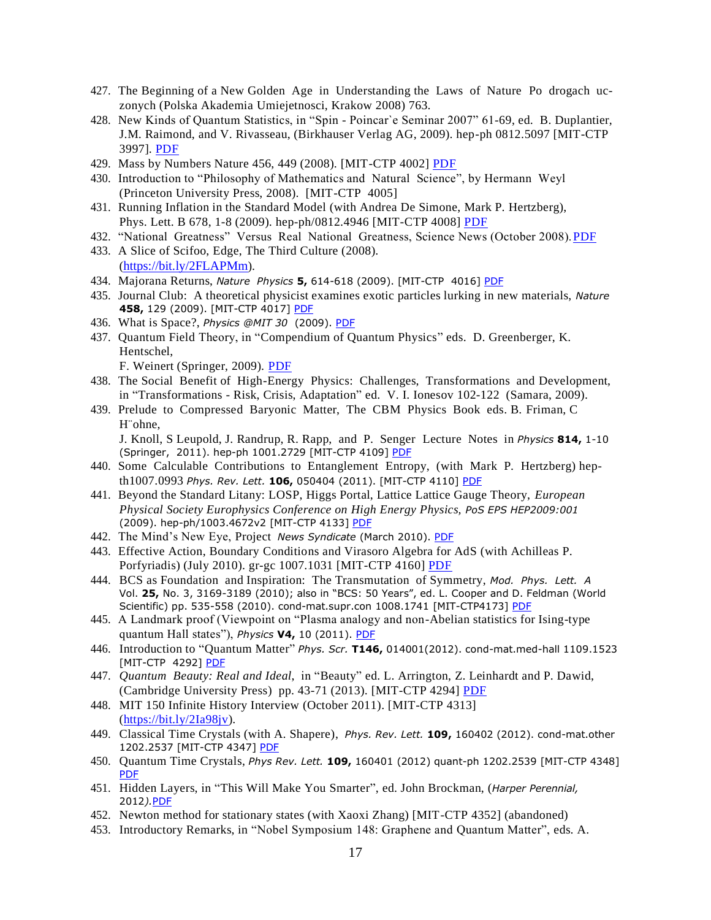- 427. The Beginning of a New Golden Age in Understanding the Laws of Nature Po drogach uczonych (Polska Akademia Umiejetnosci, Krakow 2008) 763.
- 428. New Kinds of Quantum Statistics, in "Spin Poincar`e Seminar 2007" 61-69, ed. B. Duplantier, J.M. Raimond, and V. Rivasseau, (Birkhauser Verlag AG, 2009). hep-ph 0812.5097 [MIT-CTP 3997]. [PDF](https://drive.google.com/file/d/1-e9il2Na3HzKCfLkJbpgBeh-MCPai4QR/view?usp=sharing)
- 429. Mass by Numbers Nature 456, 449 (2008). [MIT-CTP 4002] [PDF](https://drive.google.com/file/d/1fekPr7zjUXfITa-NcNrG0zbRzMchXMnr/view?usp=sharing)
- 430. Introduction to "Philosophy of Mathematics and Natural Science", by Hermann Weyl (Princeton University Press, 2008). [MIT-CTP 4005]
- 431. Running Inflation in the Standard Model (with Andrea De Simone, Mark P. Hertzberg), Phys. Lett. B 678, 1-8 (2009). hep-ph/0812.4946 [MIT-CTP 4008] [PDF](https://drive.google.com/file/d/1kU1M2Ir4KmmVqm_lVImd0CdHJ9HLH-b0/view?usp=sharing)
- 432. "National Greatness" Versus Real National Greatness, Science News (October 2008). PDF
- 433. A Slice of Scifoo, Edge, The Third Culture (2008). (<https://bit.ly/2FLAPMm>).
- 434. Majorana Returns, *Nature Physics* **5,** 614-618 (2009). [MIT-CTP 4016] [PDF](https://drive.google.com/file/d/1HfcrK9tCqbK0JWIIUlAGnFu8VmptCFVI/view?usp=sharing)
- 435. Journal Club: A theoretical physicist examines exotic particles lurking in new materials, *Nature* **458,** 129 (2009). [MIT-CTP 4017] [PDF](https://drive.google.com/file/d/17YHjgdMadBBGG2-MWumdOJ96g6txkeEC/view?usp=sharing)
- 436. What is Space?, *Physics @MIT 30* (2009). [PDF](https://drive.google.com/file/d/1-kV6ZgIcIuFgfHGX1a4fKE79JMrsre8T/view?usp=sharing)
- 437. Quantum Field Theory, in "Compendium of Quantum Physics" eds. D. Greenberger, K. Hentschel,
	- F. Weinert (Springer, 2009). [PDF](https://drive.google.com/file/d/1jrz5nELaLJVd5YcgyLGmdcjqfYCmL7pW/view?usp=sharing)
- 438. The Social Benefit of High-Energy Physics: Challenges, Transformations and Development, in "Transformations - Risk, Crisis, Adaptation" ed. V. I. Ionesov 102-122 (Samara, 2009).
- 439. Prelude to Compressed Baryonic Matter, The CBM Physics Book eds. B. Friman, C H¨ohne,

J. Knoll, S Leupold, J. Randrup, R. Rapp, and P. Senger Lecture Notes in *Physics* **814,** 1-10 (Springer, 2011). hep-ph 1001.2729 [MIT-CTP 4109] [PDF](https://drive.google.com/file/d/1WZZuAPft4jCsiVsAsUwE8SpGA2TdrgJd/view?usp=sharing)

- 440. Some Calculable Contributions to Entanglement Entropy, (with Mark P. Hertzberg) hepth1007.0993 *Phys. Rev. Lett.* **106,** 050404 (2011). [MIT-CTP 4110] [PDF](https://drive.google.com/file/d/1VHXR1aGP3OeNyH3e_cQ1-WKKFMvpNY9z/view?usp=sharing)
- 441. Beyond the Standard Litany: LOSP, Higgs Portal, Lattice Lattice Gauge Theory, *European Physical Society Europhysics Conference on High Energy Physics, PoS EPS HEP2009:001*  (2009). hep-ph/1003.4672v2 [MIT-CTP 4133] [PDF](https://drive.google.com/file/d/0B7pl5V0YU9taTzFIX0x6UUw2Slk/view?usp=sharing)
- 442. The Mind's New Eye, Project *News Syndicate* (March 2010). [PDF](https://drive.google.com/file/d/1bMpC3rzp33rVy9pQnWK2wad4f1af7StR/view?usp=sharing)
- 443. Effective Action, Boundary Conditions and Virasoro Algebra for AdS (with Achilleas P. Porfyriadis) (July 2010). gr-gc 1007.1031 [MIT-CTP 4160] [PDF](https://drive.google.com/file/d/0B7pl5V0YU9tab1A1NEpRcEdkQms/view?usp=sharing)
- 444. BCS as Foundation and Inspiration: The Transmutation of Symmetry, *Mod. Phys. Lett. A* Vol. **25,** No. 3, 3169-3189 (2010); also in "BCS: 50 Years", ed. L. Cooper and D. Feldman (World Scientific) pp. 535-558 (2010). cond-mat.supr.con 1008.1741 [MIT-CTP4173] [PDF](https://drive.google.com/file/d/0B7pl5V0YU9tabmlycUtqVXV1X0E/view?usp=sharing)
- 445. A Landmark proof (Viewpoint on "Plasma analogy and non-Abelian statistics for Ising-type quantum Hall states"), *Physics* **V4,** 10 (2011). [PDF](https://drive.google.com/file/d/0B7pl5V0YU9taakxkMXREcTNxbkk/view?usp=sharing)
- 446. Introduction to "Quantum Matter" *Phys. Scr.* **T146,** 014001(2012). cond-mat.med-hall 1109.1523 [MIT-CTP 4292] [PDF](https://drive.google.com/file/d/0B7pl5V0YU9taUnl3b1hTSzBPUFU/view?usp=sharing)
- 447. *Quantum Beauty: Real and Ideal*, in "Beauty" ed. L. Arrington, Z. Leinhardt and P. Dawid, (Cambridge University Press) pp. 43-71 (2013). [MIT-CTP 4294] [PDF](https://drive.google.com/file/d/1STwBbipmV4HTsDAFo8-PGgLQKZ6BBF8a/view?usp=sharing)
- 448. MIT 150 Infinite History Interview (October 2011). [MIT-CTP 4313] [\(https://bit.ly/2Ia98jv\)](https://bit.ly/2Ia98jv).
- 449. Classical Time Crystals (with A. Shapere), *Phys. Rev. Lett.* **109,** 160402 (2012). cond-mat.other 1202.2537 [MIT-CTP 4347] [PDF](https://drive.google.com/file/d/0B7pl5V0YU9taQWxLWkFkS2lzOEU/view?usp=sharing)
- 450. Quantum Time Crystals, *Phys Rev. Lett.* **109,** 160401 (2012) quant-ph 1202.2539 [MIT-CTP 4348] [PDF](https://drive.google.com/file/d/0B7pl5V0YU9taRG14NnlfeFRHeWc/view?usp=sharing)
- 451. Hidden Layers, in "This Will Make You Smarter", ed. John Brockman, (*Harper Perennial,*  2012*).*[PDF](https://drive.google.com/file/d/14SLe0V8c3eeUna8NSSvFTbHJ3O1azBQZ/view?usp=sharing)
- 452. Newton method for stationary states (with Xaoxi Zhang) [MIT-CTP 4352] (abandoned)
- 453. Introductory Remarks, in "Nobel Symposium 148: Graphene and Quantum Matter", eds. A.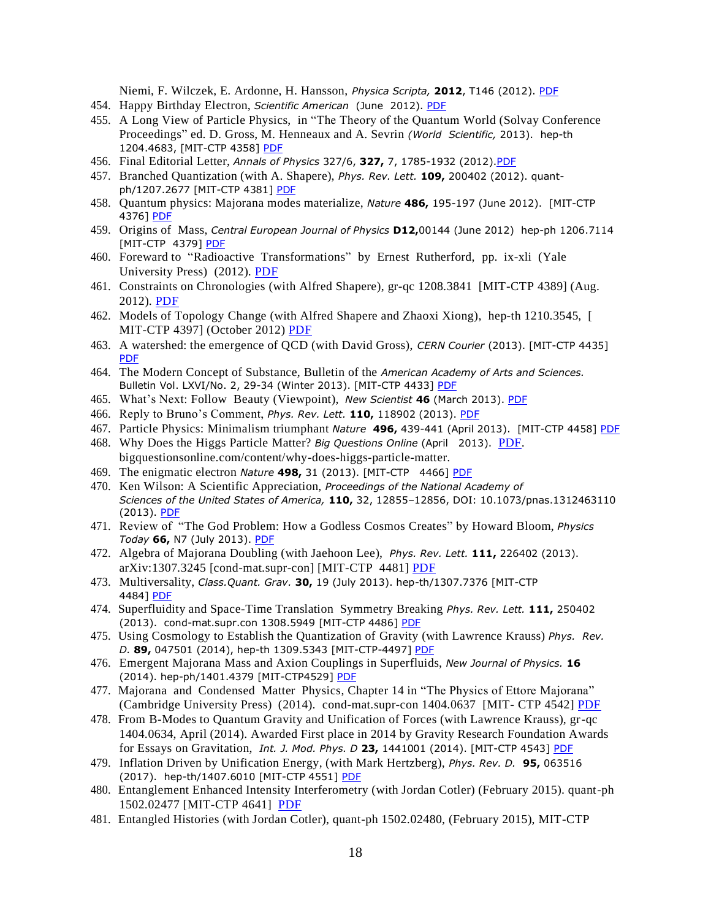Niemi, F. Wilczek, E. Ardonne, H. Hansson, *Physica Scripta,* **2012**, T146 (2012). [PDF](https://drive.google.com/file/d/19wYf2QpkQTy9OKZX1Y53HG7jn_nRhcBj/view?usp=sharing)

- 454. Happy Birthday Electron, *Scientific American* (June 2012). [PDF](https://drive.google.com/file/d/1TBfr1DxEJjeGiWVJsjyZLbKvxdQm_19T/view?usp=sharing)
- 455. A Long View of Particle Physics, in "The Theory of the Quantum World (Solvay Conference Proceedings" ed. D. Gross, M. Henneaux and A. Sevrin *(World Scientific,* 2013). hep-th 1204.4683, [MIT-CTP 4358] [PDF](https://drive.google.com/file/d/0B7pl5V0YU9tadEw2cE5vVjFHS3c/view?usp=sharing)
- 456. Final Editorial Letter, *Annals of Physics* 327/6, **327,** 7, 1785-1932 (2012)[.PDF](https://drive.google.com/file/d/14YGsqLIxkfAOzGCSoMGqXEFB00dhRcBI/view?usp=sharing)
- 457. Branched Quantization (with A. Shapere), *Phys. Rev. Lett.* **109,** 200402 (2012). quantph/1207.2677 [MIT-CTP 4381] [PDF](https://drive.google.com/file/d/0B7pl5V0YU9tacU4yR0QybHV0NVE/view?usp=sharing)
- 458. Quantum physics: Majorana modes materialize, *Nature* **486,** 195-197 (June 2012). [MIT-CTP 4376] [PDF](https://drive.google.com/file/d/0B7pl5V0YU9taYm1fTzRiV0ZKb3c/view?usp=sharing)
- 459. Origins of Mass, *Central European Journal of Physics* **D12,**00144 (June 2012) hep-ph 1206.7114 [MIT-CTP 4379] [PDF](https://drive.google.com/file/d/1h-7QCNnFe6rGTvsyfBhYp_62wWgqlZb4/view?usp=sharing)
- 460. Foreward to "Radioactive Transformations" by Ernest Rutherford, pp. ix-xli (Yale University Press) (2012). [PDF](https://drive.google.com/file/d/1tI-zUR_VZdhx6e5womZwar3LYrE2Nqzd/view?usp=sharing)
- 461. Constraints on Chronologies (with Alfred Shapere), gr-qc 1208.3841 [MIT-CTP 4389] (Aug. 2012). [PDF](https://drive.google.com/file/d/0B7pl5V0YU9tacEt0SkMzcThtams/view?usp=sharing)
- 462. Models of Topology Change (with Alfred Shapere and Zhaoxi Xiong), hep-th 1210.3545, [ MIT-CTP 4397] (October 2012) [PDF](https://drive.google.com/file/d/1jFVj3bGlamgtgx9m2-wkKar5ergt4TEx/view?usp=sharing)
- 463. A watershed: the emergence of QCD (with David Gross), *CERN Courier* (2013). [MIT-CTP 4435] [PDF](https://drive.google.com/file/d/1KjLS2CSDzPdJSXbf-Pxhp3mm3UNOJ0BT/view?usp=sharing)
- 464. The Modern Concept of Substance, Bulletin of the *American Academy of Arts and Sciences.* Bulletin Vol. LXVI/No. 2, 29-34 (Winter 2013). [MIT-CTP 4433] [PDF](https://drive.google.com/file/d/0B7pl5V0YU9taUWQ4OFY3ZDVJdFE/view?usp=sharing)
- 465. What's Next: Follow Beauty (Viewpoint), *New Scientist* **46** (March 2013). [PDF](https://drive.google.com/file/d/1yLIimCecF_G17ZmtxcyQrqDFGkI8mrDJ/view?usp=sharing)
- 466. Reply to Bruno's Comment, *Phys. Rev. Lett.* **110,** 118902 (2013). [PDF](https://drive.google.com/file/d/1zgDU3LTU2kFKZ-ikl3PC_0Q8KSGKexlq/view?usp=sharing)
- 467. Particle Physics: Minimalism triumphant *Nature* **496,** 439-441 (April 2013). [MIT-CTP 4458] [PDF](https://drive.google.com/file/d/0B7pl5V0YU9tabTc5aXhfa2x1VFU/view?usp=sharing)
- 468. Why Does the Higgs Particle Matter? *Big Questions Online* (April 2013). [PDF.](https://drive.google.com/file/d/1DSe0dEKlSbi9jrSYgZojUbsSRbKsgqHg/view?usp=sharing)  [bigquestionsonline.com/content/why-does-higgs-particle-matter.](http://www.bigquestionsonline.com/content/why-does-higgs-particle-matter)
- 469. The enigmatic electron *Nature* **498,** 31 (2013). [MIT-CTP 4466] [PDF](https://drive.google.com/file/d/0B7pl5V0YU9taaFpCM01BeU55Ymc/view?usp=sharing)
- 470. Ken Wilson: A Scientific Appreciation, *Proceedings of the National Academy of Sciences of the United States of America,* **110,** 32, 12855–12856, DOI: 10.1073/pnas.1312463110 (2013). [PDF](https://drive.google.com/file/d/0B7pl5V0YU9taSkV6NElCN2FNQzA/view?usp=sharing)
- 471. Review of "The God Problem: How a Godless Cosmos Creates" by Howard Bloom, *Physics Today* **66,** N7 (July 2013). [PDF](https://drive.google.com/file/d/1M8TOeU794hpE5TGcOeY3budTubfuGjQ5/view?usp=sharing)
- 472. Algebra of Majorana Doubling (with Jaehoon Lee), *Phys. Rev. Lett.* **111,** 226402 (2013). arXiv:1307.3245 [cond-mat.supr-con] [MIT-CTP 4481] [PDF](https://drive.google.com/file/d/0B7pl5V0YU9taVFg2Yjhpc2ctcE0/view?usp=sharing)
- 473. Multiversality, *Class.Quant. Grav.* **30,** 19 (July 2013). hep-th/1307.7376 [MIT-CTP 4484] [PDF](https://drive.google.com/file/d/0B7pl5V0YU9taNDdnTF9qT3VSTEE/view?usp=sharing)
- 474. Superfluidity and Space-Time Translation Symmetry Breaking *Phys. Rev. Lett.* **111,** 250402 (2013). cond-mat.supr.con 1308.5949 [MIT-CTP 4486] [PDF](https://drive.google.com/file/d/0B7pl5V0YU9taOF9PSUlXWUxDZ28/view?usp=sharing)
- 475. Using Cosmology to Establish the Quantization of Gravity (with Lawrence Krauss) *Phys. Rev. D.* **89,** 047501 (2014), hep-th 1309.5343 [MIT-CTP-4497] [PDF](https://drive.google.com/file/d/0B7pl5V0YU9taOHNsVjhEMGpnOGs/view?usp=sharing)
- 476. Emergent Majorana Mass and Axion Couplings in Superfluids, *New Journal of Physics.* **16** (2014). hep-ph/1401.4379 [MIT-CTP4529] [PDF](https://drive.google.com/file/d/0B7pl5V0YU9taQjY5bHFfN3RTYVE/view?usp=sharing)
- 477. Majorana and Condensed Matter Physics, Chapter 14 in "The Physics of Ettore Majorana" (Cambridge University Press) (2014). cond-mat.supr-con 1404.0637 [MIT- CTP 4542] [PDF](https://drive.google.com/file/d/0B7pl5V0YU9tadlZRSENvb01NMzg/view?usp=sharing)
- 478. From B-Modes to Quantum Gravity and Unification of Forces (with Lawrence Krauss), gr-qc 1404.0634, April (2014). Awarded First place in 2014 by Gravity Research Foundation Awards for Essays on Gravitation, *Int. J. Mod. Phys. D* **23,** 1441001 (2014). [MIT-CTP 4543] [PDF](https://drive.google.com/file/d/0B7pl5V0YU9taSEViTlY3b29sdEE/view?usp=sharing)
- 479. Inflation Driven by Unification Energy, (with Mark Hertzberg), *Phys. Rev. D.* **95,** 063516 (2017). hep-th/1407.6010 [MIT-CTP 4551] [PDF](https://drive.google.com/file/d/0B7pl5V0YU9taMEtIT0VLX1ladlE/view?usp=sharing)
- 480. Entanglement Enhanced Intensity Interferometry (with Jordan Cotler) (February 2015). quant-ph 1502.02477 [MIT-CTP 4641] [PDF](https://drive.google.com/file/d/0B7pl5V0YU9taWEZfendZSGVwVGc/view?usp=sharing)
- 481. Entangled Histories (with Jordan Cotler), quant-ph 1502.02480, (February 2015), MIT-CTP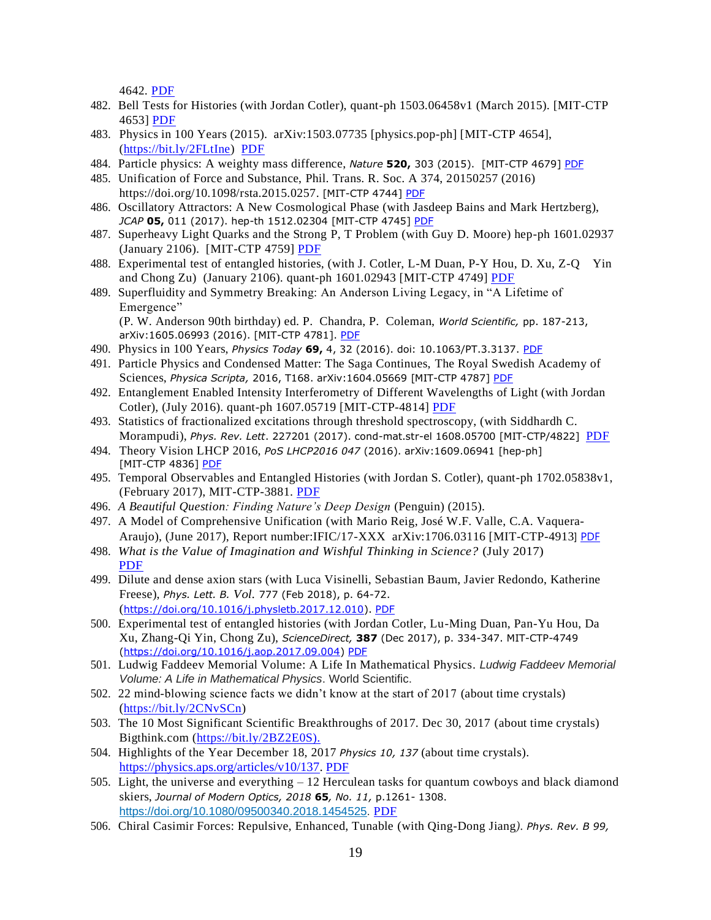4642. [PDF](https://drive.google.com/file/d/0B7pl5V0YU9taT3ctS3ltRXZVd0k/view?usp=sharing)

- 482. Bell Tests for Histories (with Jordan Cotler), quant-ph 1503.06458v1 (March 2015). [MIT-CTP 4653] [PDF](https://drive.google.com/file/d/0B7pl5V0YU9taUHBnbmtqUFBHb2M/view?usp=sharing)
- 483. Physics in 100 Years (2015). arXiv:1503.07735 [physics.pop-ph] [MIT-CTP 4654], [\(https://bit.ly/2FLtIne\)](https://bit.ly/2FLtIne) [PDF](https://drive.google.com/file/d/1GjwDmlR_-LICMKz1dkRk6dgRMqxWbAnw/view?usp=sharing)
- 484. Particle physics: A weighty mass difference, *Nature* **520,** 303 (2015). [MIT-CTP 4679] [PDF](https://drive.google.com/file/d/0B7pl5V0YU9taTkRGdG1rckY4RGs/view?usp=sharing)
- 485. Unification of Force and Substance, Phil. Trans. R. Soc. A 374, 20150257 (2016) [https://doi.org/10.1098/rsta.2015.0257.](https://doi.org/10.1098/rsta.2015.0257) [MIT-CTP 4744] [PDF](https://drive.google.com/file/d/1qqBFE6ac66xpJh8Isjaraek_hpFhH-VM/view?usp=sharing)
- 486. Oscillatory Attractors: A New Cosmological Phase (with Jasdeep Bains and Mark Hertzberg), *JCAP* **05,** 011 (2017). hep-th 1512.02304 [MIT-CTP 4745] [PDF](https://drive.google.com/file/d/1ev45f21bhz59MZLTYIDepZb9K3BdLrpD/view?usp=sharing)
- 487. Superheavy Light Quarks and the Strong P, T Problem (with Guy D. Moore) hep-ph 1601.02937 (January 2106). [MIT-CTP 4759] [PDF](https://drive.google.com/file/d/0B7pl5V0YU9taa1FNR3o5akxhSW8/view?usp=sharing)
- 488. Experimental test of entangled histories, (with J. Cotler, L-M Duan, P-Y Hou, D. Xu, Z-Q Yin and Chong Zu) (January 2106). quant-ph 1601.02943 [MIT-CTP 4749] [PDF](https://drive.google.com/file/d/0B7pl5V0YU9taS0ZBenVXcUVockU/view?usp=sharing)
- 489. Superfluidity and Symmetry Breaking: An Anderson Living Legacy, in "A Lifetime of Emergence"

(P. W. Anderson 90th birthday) ed. P. Chandra, P. Coleman, *World Scientific,* pp. 187-213, arXiv:1605.06993 (2016). [MIT-CTP 4781]. [PDF](https://drive.google.com/file/d/14YfQ7rvS9qQMOnGqAFzleEE7qsf8Pvvu/view?usp=sharing)

- 490. Physics in 100 Years, *Physics Today* **69,** 4, 32 (2016). doi: 10.1063/PT.3.3137. [PDF](https://drive.google.com/file/d/1AHHKbXAeyw0tH3N-A832IyO5Ctf2_njS/view?usp=sharing)
- 491. Particle Physics and Condensed Matter: The Saga Continues, The Royal Swedish Academy of Sciences, *Physica Scripta,* 2016, T168. arXiv:1604.05669 [MIT-CTP 4787] [PDF](https://drive.google.com/file/d/0B7pl5V0YU9taTVhfMW1jQnFsTXc/view?usp=sharing)
- 492. Entanglement Enabled Intensity Interferometry of Different Wavelengths of Light (with Jordan Cotler), (July 2016). quant-ph 1607.05719 [MIT-CTP-4814] [PDF](https://drive.google.com/file/d/0B7pl5V0YU9taeXFyMlRFeWFuaDQ/view?usp=sharing)
- 493. Statistics of fractionalized excitations through threshold spectroscopy, (with Siddhardh C. Morampudi), *Phys. Rev. Lett*. 227201 (2017). cond-mat.str-el 1608.05700 [MIT-CTP/4822] [PDF](https://drive.google.com/file/d/0B7pl5V0YU9taUmk1MVVZZks3Q1U/view?usp=sharing)
- 494. Theory Vision LHCP 2016, *PoS LHCP2016 047* (2016). arXiv:1609.06941 [hep-ph] [MIT-CTP 4836] [PDF](https://drive.google.com/file/d/0B7pl5V0YU9taTW5tWGI3WHJ1R3M/view?usp=sharing)
- 495. Temporal Observables and Entangled Histories (with Jordan S. Cotler), quant-ph 1702.05838v1, (February 2017), MIT-CTP-3881. [PDF](https://drive.google.com/file/d/0B7pl5V0YU9taVWt3c2VTZmpYcE0/view?usp=sharing)
- 496. *A Beautiful Question: Finding Nature's Deep Design* (Penguin) (2015).
- 497. A Model of Comprehensive Unification (with [Mario Reig,](https://arxiv.org/find/hep-ph/1/au:+Reig_M/0/1/0/all/0/1) [José W.F. Valle,](https://arxiv.org/find/hep-ph/1/au:+Valle_J/0/1/0/all/0/1) [C.A. Vaquera-](https://arxiv.org/find/hep-ph/1/au:+Vaquera_Araujo_C/0/1/0/all/0/1)[Araujo\)](https://arxiv.org/find/hep-ph/1/au:+Vaquera_Araujo_C/0/1/0/all/0/1), (June 2017), Report number:IFIC/17-XXX arXiv:1706.03116 [MIT-CTP-4913] [PDF](https://drive.google.com/file/d/0B7pl5V0YU9tacktQZFZHa1JmMU0/view?usp=sharing)
- 498. *What is the Value of Imagination and Wishful Thinking in Science?* (July 2017) [PDF](https://drive.google.com/file/d/1-A9nZOefVHw7qSGD7iOLpnQairj1hUzO/view?usp=sharing)
- 499. Dilute and dense axion stars (with Luca Visinelli, Sebastian Baum, Javier Redondo, Katherine Freese), *Phys. Lett. B. Vol.* 777 (Feb 2018), p. 64-72. ([https://doi.org/10.1016/j.physletb.2017.12.010\)](https://doi.org/10.1016/j.physletb.2017.12.010). [PDF](https://drive.google.com/file/d/122gcdivbBzZeimS6z77THQluETtDRQte/view?usp=sharing)
- 500. Experimental test of entangled histories (with Jordan Cotler, Lu-Ming Duan, Pan-Yu Hou, Da Xu, Zhang-Qi Yin, Chong Zu), *ScienceDirect,* **387** (Dec 2017), p. 334-347. MIT-CTP-4749 [\(https://doi.org/10.1016/j.aop.2017.09.004\)](https://doi.org/10.1016/j.aop.2017.09.004) [PDF](https://drive.google.com/file/d/1JToiVfdHnAGwn7sIrdcyHWUpPfIIsKrn/view?usp=sharing)
- 501. Ludwig Faddeev Memorial Volume: A Life In Mathematical Physics. *Ludwig Faddeev Memorial Volume: A Life in Mathematical Physics*. World Scientific.
- 502. 22 mind-blowing science facts we didn't know at the start of 2017 (about time crystals) ([https://bit.ly/2CNvSCn\)](https://bit.ly/2CNvSCn)
- 503. The 10 Most Significant Scientific Breakthroughs of 2017. Dec 30, 2017 (about time crystals) Bigthink.com [\(https://bit.ly/2BZ2E0S\).](https://bit.ly/2BZ2E0S))
- 504. Highlights of the Year December 18, 2017 *Physics 10, 137* (about time crystals). [https://physics.aps.org/articles/v10/137.](https://physics.aps.org/articles/v10/137) [PDF](https://drive.google.com/file/d/1r-kknoNn4SI-BpstkjUfm9LQb018orIy/view?usp=sharing)
- 505. Light, the universe and everything  $-12$  Herculean tasks for quantum cowboys and black diamond skiers, *Journal of Modern Optics, 2018* **65***, No. 11,* p.1261- 1308. [https://doi.org/10.1080/09500340.2018.1454525.](https://doi.org/10.1080/09500340.2018.1454525) [PDF](https://drive.google.com/file/d/1yomhhZj_XgiPgd1iDNQL-HSwqlHyiue5/view?usp=sharing)
- 506. Chiral Casimir Forces: Repulsive, Enhanced, Tunable (with Qing-Dong Jiang*). Phys. Rev. B 99,*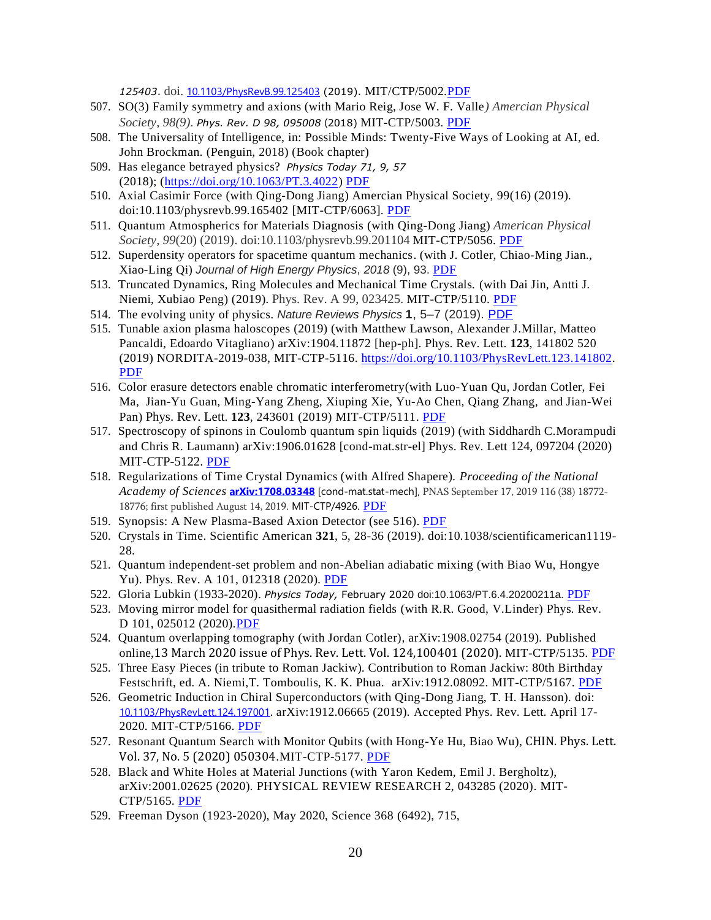*125403*. doi. [10.1103/PhysRevB.99.125403](https://arxiv.org/ct?url=https%3A%2F%2Fdx.doi.org%2F10.1103%2FPhysRevB.99.125403&v=e7bcd3f6) (2019). MIT/CTP/5002[.PDF](https://drive.google.com/file/d/1TK1_fEkOlDgJTKo5xrJ15XkZ7_VwODM2/view?usp=sharing)

- 507. SO(3) Family symmetry and axions (with Mario Reig, Jose W. F. Valle*) Amercian Physical Society, 98(9). Phys. Rev. D 98, 095008* (2018) MIT-CTP/5003. [PDF](https://drive.google.com/file/d/1WxhfW5in4L3_evCGEkNPJtEv6fI8qgh1/view?usp=sharing)
- 508. The Universality of Intelligence, in: Possible Minds: Twenty-Five Ways of Looking at AI, ed. John Brockman. (Penguin, 2018) (Book chapter)
- 509. Has elegance betrayed physics? *Physics Today 71, 9, 57* (2018); [\(https://doi.org/10.1063/PT.3.4022\)](https://doi.org/10.1063/PT.3.4022) [PDF](https://drive.google.com/file/d/1b0j6jXl-3q52FcKBcbHqjccNC7IlAXxh/view?usp=sharing)
- 510. Axial Casimir Force (with Qing-Dong Jiang) Amercian Physical Society, 99(16) (2019). doi:10.1103/physrevb.99.165402 [MIT-CTP/6063]. [PDF](https://drive.google.com/file/d/1L-lUOJPoh7JYbsaCwmRffh-1aklGMv9L/view?usp=sharing)
- 511. Quantum Atmospherics for Materials Diagnosis (with Qing-Dong Jiang) *American Physical Society, 99*(20) (2019). doi:10.1103/physrevb.99.201104 MIT-CTP/5056. [PDF](https://drive.google.com/file/d/1mWWHv00FSbtazr_KAFtGZqsQm3l_rpB7/view?usp=sharing)
- 512. Superdensity operators for spacetime quantum mechanics. (with J. Cotler, Chiao-Ming Jian., Xiao-Ling Qi) *Journal of High Energy Physics*, *2018* (9), 93. [PDF](https://drive.google.com/file/d/1sBVzPvpGdUqJXm98Fl-7bIuzL4dxHsLj/view?usp=sharing)
- 513. Truncated Dynamics, Ring Molecules and Mechanical Time Crystals. (with Dai Jin, Antti J. Niemi, Xubiao Peng) (2019). Phys. Rev. A 99, 023425. MIT-CTP/5110. [PDF](https://drive.google.com/file/d/1zod07HSvIsI5qH9Adqod9uqGXhJYO4p1/view?usp=sharing)
- 514. The evolving unity of physics. *Nature Reviews Physics* **1**, 5–7 (2019). [PDF](https://drive.google.com/file/d/16GIZkMU7Pc8FG-bSAD7OhVEmFyQaDd_g/view?usp=sharing)
- 515. Tunable axion plasma haloscopes (2019) (with [Matthew Lawson,](https://arxiv.org/search/hep-ph?searchtype=author&query=Lawson%2C+M) [Alexander J.Millar,](https://arxiv.org/search/hep-ph?searchtype=author&query=J.Millar%2C+A) [Matteo](https://arxiv.org/search/hep-ph?searchtype=author&query=Pancaldi%2C+M)  [Pancaldi,](https://arxiv.org/search/hep-ph?searchtype=author&query=Pancaldi%2C+M) [Edoardo Vitagliano\)](https://arxiv.org/search/hep-ph?searchtype=author&query=Vitagliano%2C+E) [arXiv:1904.11872](https://arxiv.org/abs/1904.11872) [hep-ph]. Phys. Rev. Lett. **123**, 141802 520 (2019) NORDITA-2019-038, MIT-CTP-5116. [https://doi.org/10.1103/PhysRevLett.123.141802.](https://doi.org/10.1103/PhysRevLett.123.141802) [PDF](https://drive.google.com/file/d/1z5lqwwF08Jhu1jb69kHGB6zm3droFqMi/view?usp=sharing)
- 516. Color erasure detectors enable chromatic interferometry(with Luo-Yuan Qu, Jordan Cotler, Fei Ma, Jian-Yu Guan, Ming-Yang Zheng, Xiuping Xie, Yu-Ao Chen, Qiang Zhang, and Jian-Wei Pan) Phys. Rev. Lett. **123**, 243601 (2019) MIT-CTP/5111. [PDF](https://drive.google.com/file/d/1phAXKaxrLaF1j6XbNtQptpRj6ovWh8sR/view?usp=sharing)
- 517. Spectroscopy of spinons in Coulomb quantum spin liquids (2019) (with Siddhardh C.Morampudi and Chris R. Laumann) [arXiv:1906.01628](https://arxiv.org/abs/1906.01628) [cond-mat.str-el] Phys. Rev. Lett 124, 097204 (2020) MIT-CTP-5122. [PDF](https://drive.google.com/file/d/1WlHkTH4tTh_M_feIWr6WEO_uDa6SCLWr/view?usp=sharing)
- 518. Regularizations of Time Crystal Dynamics (with Alfred Shapere). *Proceeding of the National Academy of Sciences* **[arXiv:1708.03348](https://arxiv.org/abs/1708.03348)** [cond-mat.stat-mech], PNAS September 17, 2019 116 (38) 18772- 18776; first published August 14, 2019. MIT-CTP/4926. [PDF](https://drive.google.com/file/d/1t4kYvu6WleYcN760ncFeBBxGe9xHkbUr/view?usp=sharing)
- 519. Synopsis: A New Plasma-Based Axion Detector (see 516). [PDF](https://drive.google.com/open?id=1YBzwhV4_ZYQbl-qlW9CeCu0zTni38iWk)
- 520. Crystals in Time. Scientific American **321**, 5, 28-36 (2019). doi:10.1038/scientificamerican1119- 28.
- 521. Quantum independent-set problem and non-Abelian adiabatic mixing (with Biao Wu, Hongye Yu). Phys. Rev. A 101, 012318 (2020). [PDF](https://drive.google.com/file/d/1wP0H94A-VzQG-Z_XIn9s-E1zcThgno19/view?usp=sharing)
- 522. Gloria Lubkin (1933-2020). *Physics Today,* February 2020 doi:10.1063/PT.6.4.20200211a. [PDF](https://drive.google.com/file/d/1_360p7VKGS0V7pixHQOPNk7zJXIqlZjC/view?usp=sharing)
- 523. Moving mirror model for quasithermal radiation fields (with R.R. Good, V.Linder) Phys. Rev. D 101, 025012 (2020). PDF
- 524. Quantum overlapping tomography (with Jordan Cotler), arXiv:1908.02754 (2019). Published online,13 March 2020 issue of Phys. Rev. Lett. Vol. 124,100401 (2020). MIT-CTP/5135. [PDF](https://drive.google.com/open?id=1VSam1YdcnjexIhnE2lEUnqgoYlaTOIp-)
- 525. Three Easy Pieces (in tribute to Roman Jackiw). Contribution to Roman Jackiw: 80th Birthday Festschrift, ed. A. Niemi,T. Tomboulis, K. K. Phua. [arXiv:1912.08092.](https://arxiv.org/abs/1912.08092) MIT-CTP/5167. [PDF](https://drive.google.com/file/d/1kf4Y2q_Y9bRlY10egNGOOJCg6EB8XeHv/view?usp=sharing)
- 526. Geometric Induction in Chiral Superconductors (with Qing-Dong Jiang, T. H. Hansson). doi[:](https://arxiv.org/ct?url=https%3A%2F%2Fdx.doi.org%2F10.1103%2FPhysRevLett.124.197001&v=5e52454b) [10.1103/PhysRevLett.124.197001](https://arxiv.org/ct?url=https%3A%2F%2Fdx.doi.org%2F10.1103%2FPhysRevLett.124.197001&v=5e52454b). arXiv:1912.06665 (2019). Accepted Phys. Rev. Lett. April 17- 2020. MIT-CTP/5166. [PDF](https://drive.google.com/file/d/1XVYkRLP0M7EqXEWdyrkJVniofQUlCKHE/view?usp=sharing)
- 527. Resonant Quantum Search with Monitor Qubits (with Hong-Ye Hu, Biao Wu), CHIN. Phys. Lett. Vol. 37, No. 5 (2020) 050304.MIT-CTP-5177. [PDF](https://drive.google.com/file/d/1CseK4NB4Pz6aiz01tQ8eqSwpeunfYTUC/view?usp=sharing)
- 528. Black and White Holes at Material Junctions (with Yaron Kedem, [Emil J. Bergholtz\)](https://arxiv.org/search/?searchtype=author&query=Bergholtz%2C+E+J), [arXiv:2001.02625](https://arxiv.org/abs/2001.02625) (2020). PHYSICAL REVIEW RESEARCH 2, 043285 (2020). MIT-CTP/5165. [PDF](https://drive.google.com/file/d/1MHGR7rdxSZuwubfydzL_eOc9eOhT8Vmk/view?usp=sharing)
- 529. Freeman Dyson (1923-2020), May 2020, Science 368 (6492), 715,